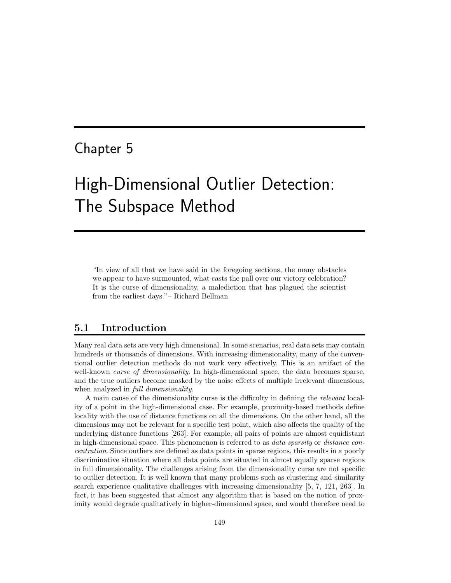## Chapter 5

# High-Dimensional Outlier Detection: The Subspace Method

"In view of all that we have said in the foregoing sections, the many obstacles we appear to have surmounted, what casts the pall over our victory celebration? It is the curse of dimensionality, a malediction that has plagued the scientist from the earliest days."– Richard Bellman

## **5.1 Introduction**

Many real data sets are very high dimensional. In some scenarios, real data sets may contain hundreds or thousands of dimensions. With increasing dimensionality, many of the conventional outlier detection methods do not work very effectively. This is an artifact of the well-known *curse of dimensionality*. In high-dimensional space, the data becomes sparse, and the true outliers become masked by the noise effects of multiple irrelevant dimensions, when analyzed in *full dimensionality*.

A main cause of the dimensionality curse is the difficulty in defining the *relevant* locality of a point in the high-dimensional case. For example, proximity-based methods define locality with the use of distance functions on all the dimensions. On the other hand, all the dimensions may not be relevant for a specific test point, which also affects the quality of the underlying distance functions [263]. For example, all pairs of points are almost equidistant in high-dimensional space. This phenomenon is referred to as *data sparsity* or *distance concentration*. Since outliers are defined as data points in sparse regions, this results in a poorly discriminative situation where all data points are situated in almost equally sparse regions in full dimensionality. The challenges arising from the dimensionality curse are not specific to outlier detection. It is well known that many problems such as clustering and similarity search experience qualitative challenges with increasing dimensionality [5, 7, 121, 263]. In fact, it has been suggested that almost any algorithm that is based on the notion of proximity would degrade qualitatively in higher-dimensional space, and would therefore need to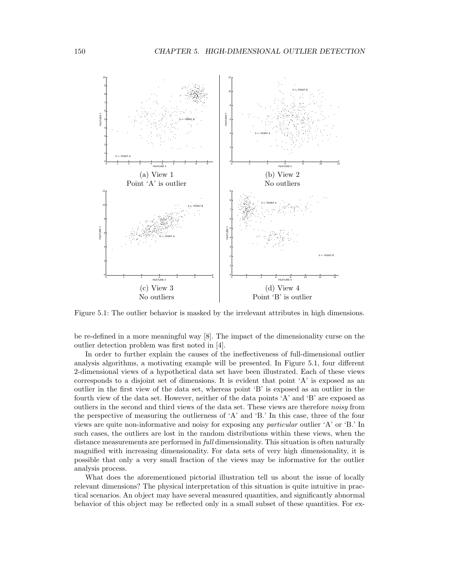

Figure 5.1: The outlier behavior is masked by the irrelevant attributes in high dimensions.

be re-defined in a more meaningful way [8]. The impact of the dimensionality curse on the outlier detection problem was first noted in [4].

In order to further explain the causes of the ineffectiveness of full-dimensional outlier analysis algorithms, a motivating example will be presented. In Figure 5.1, four different 2-dimensional views of a hypothetical data set have been illustrated. Each of these views corresponds to a disjoint set of dimensions. It is evident that point 'A' is exposed as an outlier in the first view of the data set, whereas point 'B' is exposed as an outlier in the fourth view of the data set. However, neither of the data points 'A' and 'B' are exposed as outliers in the second and third views of the data set. These views are therefore *noisy* from the perspective of measuring the outlierness of 'A' and 'B.' In this case, three of the four views are quite non-informative and noisy for exposing any *particular* outlier 'A' or 'B.' In such cases, the outliers are lost in the random distributions within these views, when the distance measurements are performed in *full* dimensionality. This situation is often naturally magnified with increasing dimensionality. For data sets of very high dimensionality, it is possible that only a very small fraction of the views may be informative for the outlier analysis process.

What does the aforementioned pictorial illustration tell us about the issue of locally relevant dimensions? The physical interpretation of this situation is quite intuitive in practical scenarios. An object may have several measured quantities, and significantly abnormal behavior of this object may be reflected only in a small subset of these quantities. For ex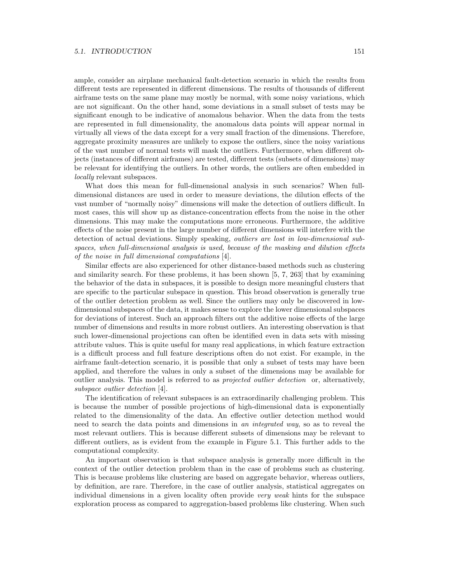ample, consider an airplane mechanical fault-detection scenario in which the results from different tests are represented in different dimensions. The results of thousands of different airframe tests on the same plane may mostly be normal, with some noisy variations, which are not significant. On the other hand, some deviations in a small subset of tests may be significant enough to be indicative of anomalous behavior. When the data from the tests are represented in full dimensionality, the anomalous data points will appear normal in virtually all views of the data except for a very small fraction of the dimensions. Therefore, aggregate proximity measures are unlikely to expose the outliers, since the noisy variations of the vast number of normal tests will mask the outliers. Furthermore, when different objects (instances of different airframes) are tested, different tests (subsets of dimensions) may be relevant for identifying the outliers. In other words, the outliers are often embedded in *locally* relevant subspaces.

What does this mean for full-dimensional analysis in such scenarios? When fulldimensional distances are used in order to measure deviations, the dilution effects of the vast number of "normally noisy" dimensions will make the detection of outliers difficult. In most cases, this will show up as distance-concentration effects from the noise in the other dimensions. This may make the computations more erroneous. Furthermore, the additive effects of the noise present in the large number of different dimensions will interfere with the detection of actual deviations. Simply speaking, *outliers are lost in low-dimensional subspaces, when full-dimensional analysis is used, because of the masking and dilution effects of the noise in full dimensional computations* [4].

Similar effects are also experienced for other distance-based methods such as clustering and similarity search. For these problems, it has been shown [5, 7, 263] that by examining the behavior of the data in subspaces, it is possible to design more meaningful clusters that are specific to the particular subspace in question. This broad observation is generally true of the outlier detection problem as well. Since the outliers may only be discovered in lowdimensional subspaces of the data, it makes sense to explore the lower dimensional subspaces for deviations of interest. Such an approach filters out the additive noise effects of the large number of dimensions and results in more robust outliers. An interesting observation is that such lower-dimensional projections can often be identified even in data sets with missing attribute values. This is quite useful for many real applications, in which feature extraction is a difficult process and full feature descriptions often do not exist. For example, in the airframe fault-detection scenario, it is possible that only a subset of tests may have been applied, and therefore the values in only a subset of the dimensions may be available for outlier analysis. This model is referred to as *projected outlier detection* or, alternatively, *subspace outlier detection* [4].

The identification of relevant subspaces is an extraordinarily challenging problem. This is because the number of possible projections of high-dimensional data is exponentially related to the dimensionality of the data. An effective outlier detection method would need to search the data points and dimensions in *an integrated way*, so as to reveal the most relevant outliers. This is because different subsets of dimensions may be relevant to different outliers, as is evident from the example in Figure 5.1. This further adds to the computational complexity.

An important observation is that subspace analysis is generally more difficult in the context of the outlier detection problem than in the case of problems such as clustering. This is because problems like clustering are based on aggregate behavior, whereas outliers, by definition, are rare. Therefore, in the case of outlier analysis, statistical aggregates on individual dimensions in a given locality often provide *very weak* hints for the subspace exploration process as compared to aggregation-based problems like clustering. When such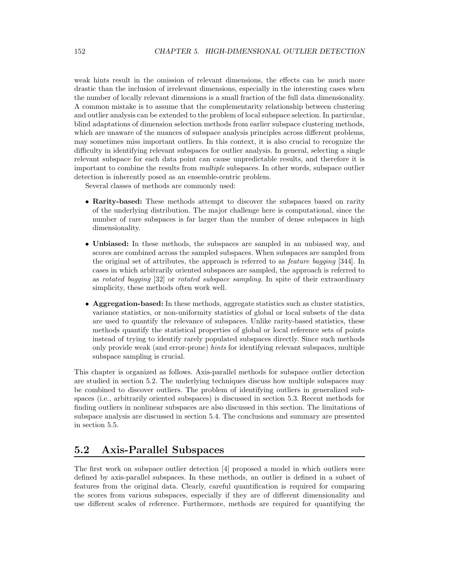weak hints result in the omission of relevant dimensions, the effects can be much more drastic than the inclusion of irrelevant dimensions, especially in the interesting cases when the number of locally relevant dimensions is a small fraction of the full data dimensionality. A common mistake is to assume that the complementarity relationship between clustering and outlier analysis can be extended to the problem of local subspace selection. In particular, blind adaptations of dimension selection methods from earlier subspace clustering methods, which are unaware of the nuances of subspace analysis principles across different problems, may sometimes miss important outliers. In this context, it is also crucial to recognize the difficulty in identifying relevant subspaces for outlier analysis. In general, selecting a single relevant subspace for each data point can cause unpredictable results, and therefore it is important to combine the results from *multiple* subspaces. In other words, subspace outlier detection is inherently posed as an ensemble-centric problem.

Several classes of methods are commonly used:

- **Rarity-based:** These methods attempt to discover the subspaces based on rarity of the underlying distribution. The major challenge here is computational, since the number of rare subspaces is far larger than the number of dense subspaces in high dimensionality.
- **Unbiased:** In these methods, the subspaces are sampled in an unbiased way, and scores are combined across the sampled subspaces. When subspaces are sampled from the original set of attributes, the approach is referred to as *feature bagging* [344]. In cases in which arbitrarily oriented subspaces are sampled, the approach is referred to as *rotated bagging* [32] or *rotated subspace sampling*. In spite of their extraordinary simplicity, these methods often work well.
- **Aggregation-based:** In these methods, aggregate statistics such as cluster statistics, variance statistics, or non-uniformity statistics of global or local subsets of the data are used to quantify the relevance of subspaces. Unlike rarity-based statistics, these methods quantify the statistical properties of global or local reference sets of points instead of trying to identify rarely populated subspaces directly. Since such methods only provide weak (and error-prone) *hints* for identifying relevant subspaces, multiple subspace sampling is crucial.

This chapter is organized as follows. Axis-parallel methods for subspace outlier detection are studied in section 5.2. The underlying techniques discuss how multiple subspaces may be combined to discover outliers. The problem of identifying outliers in generalized subspaces (i.e., arbitrarily oriented subspaces) is discussed in section 5.3. Recent methods for finding outliers in nonlinear subspaces are also discussed in this section. The limitations of subspace analysis are discussed in section 5.4. The conclusions and summary are presented in section 5.5.

## **5.2 Axis-Parallel Subspaces**

The first work on subspace outlier detection [4] proposed a model in which outliers were defined by axis-parallel subspaces. In these methods, an outlier is defined in a subset of features from the original data. Clearly, careful quantification is required for comparing the scores from various subspaces, especially if they are of different dimensionality and use different scales of reference. Furthermore, methods are required for quantifying the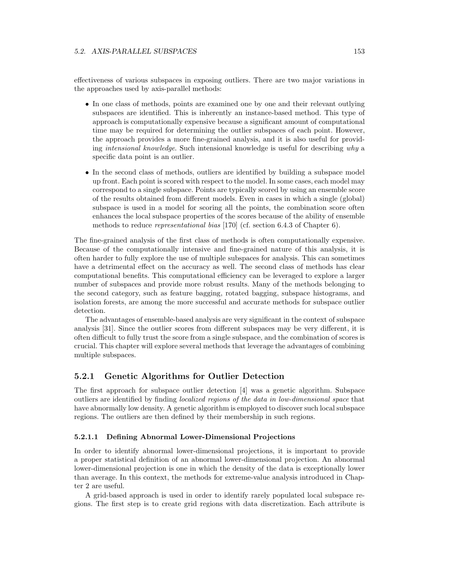effectiveness of various subspaces in exposing outliers. There are two major variations in the approaches used by axis-parallel methods:

- In one class of methods, points are examined one by one and their relevant outlying subspaces are identified. This is inherently an instance-based method. This type of approach is computationally expensive because a significant amount of computational time may be required for determining the outlier subspaces of each point. However, the approach provides a more fine-grained analysis, and it is also useful for providing *intensional knowledge*. Such intensional knowledge is useful for describing *why* a specific data point is an outlier.
- In the second class of methods, outliers are identified by building a subspace model up front. Each point is scored with respect to the model. In some cases, each model may correspond to a single subspace. Points are typically scored by using an ensemble score of the results obtained from different models. Even in cases in which a single (global) subspace is used in a model for scoring all the points, the combination score often enhances the local subspace properties of the scores because of the ability of ensemble methods to reduce *representational bias* [170] (cf. section 6.4.3 of Chapter 6).

The fine-grained analysis of the first class of methods is often computationally expensive. Because of the computationally intensive and fine-grained nature of this analysis, it is often harder to fully explore the use of multiple subspaces for analysis. This can sometimes have a detrimental effect on the accuracy as well. The second class of methods has clear computational benefits. This computational efficiency can be leveraged to explore a larger number of subspaces and provide more robust results. Many of the methods belonging to the second category, such as feature bagging, rotated bagging, subspace histograms, and isolation forests, are among the more successful and accurate methods for subspace outlier detection.

The advantages of ensemble-based analysis are very significant in the context of subspace analysis [31]. Since the outlier scores from different subspaces may be very different, it is often difficult to fully trust the score from a single subspace, and the combination of scores is crucial. This chapter will explore several methods that leverage the advantages of combining multiple subspaces.

### **5.2.1 Genetic Algorithms for Outlier Detection**

The first approach for subspace outlier detection [4] was a genetic algorithm. Subspace outliers are identified by finding *localized regions of the data in low-dimensional space* that have abnormally low density. A genetic algorithm is employed to discover such local subspace regions. The outliers are then defined by their membership in such regions.

#### **5.2.1.1 Defining Abnormal Lower-Dimensional Projections**

In order to identify abnormal lower-dimensional projections, it is important to provide a proper statistical definition of an abnormal lower-dimensional projection. An abnormal lower-dimensional projection is one in which the density of the data is exceptionally lower than average. In this context, the methods for extreme-value analysis introduced in Chapter 2 are useful.

A grid-based approach is used in order to identify rarely populated local subspace regions. The first step is to create grid regions with data discretization. Each attribute is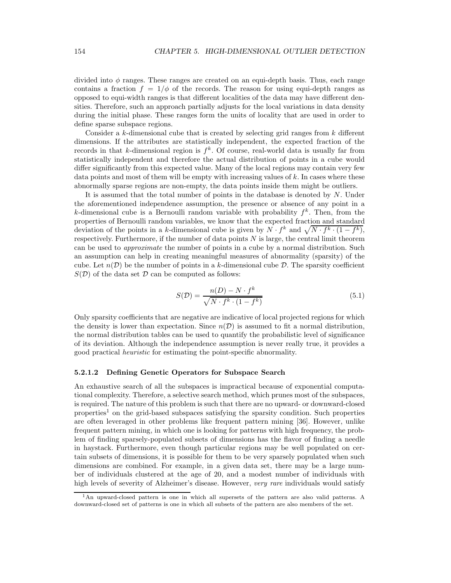divided into  $\phi$  ranges. These ranges are created on an equi-depth basis. Thus, each range contains a fraction  $f = 1/\phi$  of the records. The reason for using equi-depth ranges as opposed to equi-width ranges is that different localities of the data may have different densities. Therefore, such an approach partially adjusts for the local variations in data density during the initial phase. These ranges form the units of locality that are used in order to define sparse subspace regions.

Consider a  $k$ -dimensional cube that is created by selecting grid ranges from  $k$  different dimensions. If the attributes are statistically independent, the expected fraction of the records in that k-dimensional region is  $f^k$ . Of course, real-world data is usually far from statistically independent and therefore the actual distribution of points in a cube would differ significantly from this expected value. Many of the local regions may contain very few data points and most of them will be empty with increasing values of  $k$ . In cases where these abnormally sparse regions are non-empty, the data points inside them might be outliers.

It is assumed that the total number of points in the database is denoted by  $N$ . Under the aforementioned independence assumption, the presence or absence of any point in a k-dimensional cube is a Bernoulli random variable with probability  $f^k$ . Then, from the properties of Bernoulli random variables, we know that the expected fraction and standard deviation of the points in a k-dimensional cube is given by  $N \cdot f^k$  and  $\sqrt{N \cdot f^k \cdot (1 - f^k)}$ , respectively. Furthermore, if the number of data points  $N$  is large, the central limit theorem can be used to *approximate* the number of points in a cube by a normal distribution. Such an assumption can help in creating meaningful measures of abnormality (sparsity) of the cube. Let  $n(\mathcal{D})$  be the number of points in a k-dimensional cube  $\mathcal{D}$ . The sparsity coefficient  $S(\mathcal{D})$  of the data set  $\mathcal D$  can be computed as follows:

$$
S(\mathcal{D}) = \frac{n(D) - N \cdot f^k}{\sqrt{N \cdot f^k \cdot (1 - f^k)}}
$$
\n(5.1)

Only sparsity coefficients that are negative are indicative of local projected regions for which the density is lower than expectation. Since  $n(\mathcal{D})$  is assumed to fit a normal distribution, the normal distribution tables can be used to quantify the probabilistic level of significance of its deviation. Although the independence assumption is never really true, it provides a good practical *heuristic* for estimating the point-specific abnormality.

#### **5.2.1.2 Defining Genetic Operators for Subspace Search**

An exhaustive search of all the subspaces is impractical because of exponential computational complexity. Therefore, a selective search method, which prunes most of the subspaces, is required. The nature of this problem is such that there are no upward- or downward-closed properties<sup>1</sup> on the grid-based subspaces satisfying the sparsity condition. Such properties are often leveraged in other problems like frequent pattern mining [36]. However, unlike frequent pattern mining, in which one is looking for patterns with high frequency, the problem of finding sparsely-populated subsets of dimensions has the flavor of finding a needle in haystack. Furthermore, even though particular regions may be well populated on certain subsets of dimensions, it is possible for them to be very sparsely populated when such dimensions are combined. For example, in a given data set, there may be a large number of individuals clustered at the age of 20, and a modest number of individuals with high levels of severity of Alzheimer's disease. However, *very rare* individuals would satisfy

<sup>&</sup>lt;sup>1</sup>An upward-closed pattern is one in which all supersets of the pattern are also valid patterns. A downward-closed set of patterns is one in which all subsets of the pattern are also members of the set.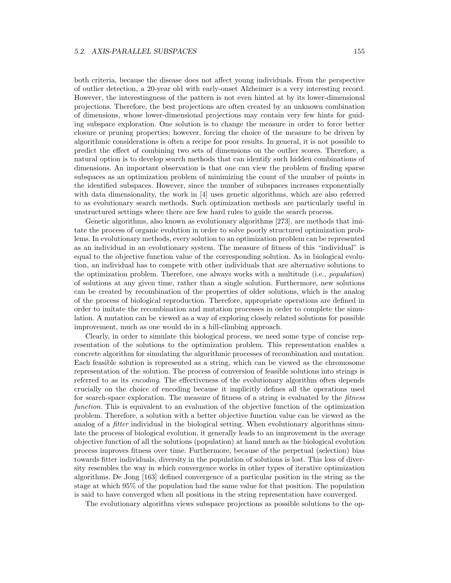both criteria, because the disease does not affect young individuals. From the perspective of outlier detection, a 20-year old with early-onset Alzheimer is a very interesting record. However, the interestingness of the pattern is not even hinted at by its lower-dimensional projections. Therefore, the best projections are often created by an unknown combination of dimensions, whose lower-dimensional projections may contain very few hints for guiding subspace exploration. One solution is to change the measure in order to force better closure or pruning properties; however, forcing the choice of the measure to be driven by algorithmic considerations is often a recipe for poor results. In general, it is not possible to predict the effect of combining two sets of dimensions on the outlier scores. Therefore, a natural option is to develop search methods that can identify such hidden combinations of dimensions. An important observation is that one can view the problem of finding sparse subspaces as an optimization problem of minimizing the count of the number of points in the identified subspaces. However, since the number of subspaces increases exponentially with data dimensionality, the work in [4] uses genetic algorithms, which are also referred to as evolutionary search methods. Such optimization methods are particularly useful in unstructured settings where there are few hard rules to guide the search process.

Genetic algorithms, also known as evolutionary algorithms [273], are methods that imitate the process of organic evolution in order to solve poorly structured optimization problems. In evolutionary methods, every solution to an optimization problem can be represented as an individual in an evolutionary system. The measure of fitness of this "individual" is equal to the objective function value of the corresponding solution. As in biological evolution, an individual has to compete with other individuals that are alternative solutions to the optimization problem. Therefore, one always works with a multitude (i.e., *population*) of solutions at any given time, rather than a single solution. Furthermore, new solutions can be created by recombination of the properties of older solutions, which is the analog of the process of biological reproduction. Therefore, appropriate operations are defined in order to imitate the recombination and mutation processes in order to complete the simulation. A mutation can be viewed as a way of exploring closely related solutions for possible improvement, much as one would do in a hill-climbing approach.

Clearly, in order to simulate this biological process, we need some type of concise representation of the solutions to the optimization problem. This representation enables a concrete algorithm for simulating the algorithmic processes of recombination and mutation. Each feasible solution is represented as a string, which can be viewed as the chromosome representation of the solution. The process of conversion of feasible solutions into strings is referred to as its *encoding*. The effectiveness of the evolutionary algorithm often depends crucially on the choice of encoding because it implicitly defines all the operations used for search-space exploration. The measure of fitness of a string is evaluated by the *fitness function*. This is equivalent to an evaluation of the objective function of the optimization problem. Therefore, a solution with a better objective function value can be viewed as the analog of a *fitter* individual in the biological setting. When evolutionary algorithms simulate the process of biological evolution, it generally leads to an improvement in the average objective function of all the solutions (population) at hand much as the biological evolution process improves fitness over time. Furthermore, because of the perpetual (selection) bias towards fitter individuals, diversity in the population of solutions is lost. This loss of diversity resembles the way in which convergence works in other types of iterative optimization algorithms. De Jong [163] defined convergence of a particular position in the string as the stage at which 95% of the population had the same value for that position. The population is said to have converged when all positions in the string representation have converged.

The evolutionary algorithm views subspace projections as possible solutions to the op-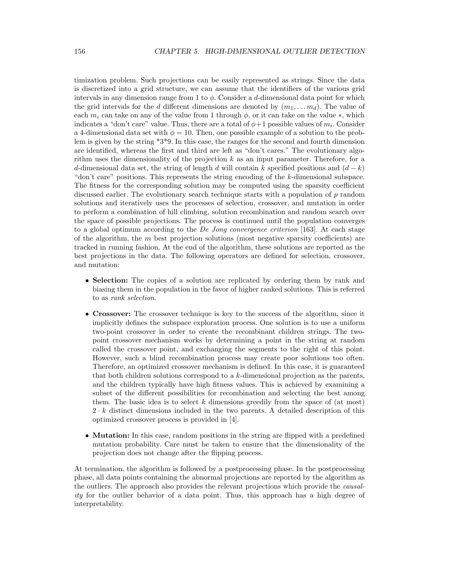timization problem. Such projections can be easily represented as strings. Since the data is discretized into a grid structure, we can assume that the identifiers of the various grid intervals in any dimension range from 1 to  $\phi$ . Consider a d-dimensional data point for which the grid intervals for the d different dimensions are denoted by  $(m_1,\ldots,m_d)$ . The value of each  $m_i$  can take on any of the value from 1 through  $\phi$ , or it can take on the value  $*$ , which indicates a "don't care" value. Thus, there are a total of  $\phi+1$  possible values of  $m_i$ . Consider a 4-dimensional data set with  $\phi = 10$ . Then, one possible example of a solution to the problem is given by the string \*3\*9. In this case, the ranges for the second and fourth dimension are identified, whereas the first and third are left as "don't cares." The evolutionary algorithm uses the dimensionality of the projection  $k$  as an input parameter. Therefore, for a d-dimensional data set, the string of length d will contain k specified positions and  $(d - k)$ "don't care" positions. This represents the string encoding of the k-dimensional subspace. The fitness for the corresponding solution may be computed using the sparsity coefficient discussed earlier. The evolutionary search technique starts with a population of  $p$  random solutions and iteratively uses the processes of selection, crossover, and mutation in order to perform a combination of hill climbing, solution recombination and random search over the space of possible projections. The process is continued until the population converges to a global optimum according to the *De Jong convergence criterion* [163]. At each stage of the algorithm, the  $m$  best projection solutions (most negative sparsity coefficients) are tracked in running fashion. At the end of the algorithm, these solutions are reported as the best projections in the data. The following operators are defined for selection, crossover, and mutation:

- **Selection:** The copies of a solution are replicated by ordering them by rank and biasing them in the population in the favor of higher ranked solutions. This is referred to as *rank selection*.
- **Crossover:** The crossover technique is key to the success of the algorithm, since it implicitly defines the subspace exploration process. One solution is to use a uniform two-point crossover in order to create the recombinant children strings. The twopoint crossover mechanism works by determining a point in the string at random called the crossover point, and exchanging the segments to the right of this point. However, such a blind recombination process may create poor solutions too often. Therefore, an optimized crossover mechanism is defined. In this case, it is guaranteed that both children solutions correspond to a k-dimensional projection as the parents, and the children typically have high fitness values. This is achieved by examining a subset of the different possibilities for recombination and selecting the best among them. The basic idea is to select k dimensions greedily from the space of  $(at \text{ most})$  $2 \cdot k$  distinct dimensions included in the two parents. A detailed description of this optimized crossover process is provided in [4].
- **Mutation:** In this case, random positions in the string are flipped with a predefined mutation probability. Care must be taken to ensure that the dimensionality of the projection does not change after the flipping process.

At termination, the algorithm is followed by a postprocessing phase. In the postprocessing phase, all data points containing the abnormal projections are reported by the algorithm as the outliers. The approach also provides the relevant projections which provide the *causality* for the outlier behavior of a data point. Thus, this approach has a high degree of interpretability.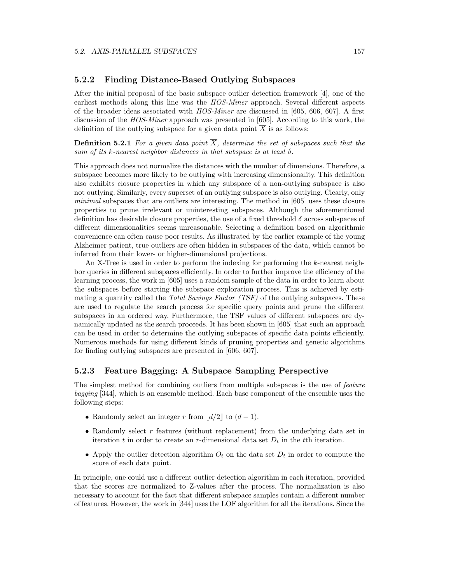#### **5.2.2 Finding Distance-Based Outlying Subspaces**

After the initial proposal of the basic subspace outlier detection framework [4], one of the earliest methods along this line was the *HOS-Miner* approach. Several different aspects of the broader ideas associated with *HOS-Miner* are discussed in [605, 606, 607]. A first discussion of the *HOS-Miner* approach was presented in [605]. According to this work, the definition of the outlying subspace for a given data point  $\overline{X}$  is as follows:

**Definition 5.2.1** For a given data point  $\overline{X}$ , determine the set of subspaces such that the *sum of its* k*-nearest neighbor distances in that subspace is at least* δ*.*

This approach does not normalize the distances with the number of dimensions. Therefore, a subspace becomes more likely to be outlying with increasing dimensionality. This definition also exhibits closure properties in which any subspace of a non-outlying subspace is also not outlying. Similarly, every superset of an outlying subspace is also outlying. Clearly, only *minimal* subspaces that are outliers are interesting. The method in [605] uses these closure properties to prune irrelevant or uninteresting subspaces. Although the aforementioned definition has desirable closure properties, the use of a fixed threshold  $\delta$  across subspaces of different dimensionalities seems unreasonable. Selecting a definition based on algorithmic convenience can often cause poor results. As illustrated by the earlier example of the young Alzheimer patient, true outliers are often hidden in subspaces of the data, which cannot be inferred from their lower- or higher-dimensional projections.

An X-Tree is used in order to perform the indexing for performing the k-nearest neighbor queries in different subspaces efficiently. In order to further improve the efficiency of the learning process, the work in [605] uses a random sample of the data in order to learn about the subspaces before starting the subspace exploration process. This is achieved by estimating a quantity called the *Total Savings Factor (TSF)* of the outlying subspaces. These are used to regulate the search process for specific query points and prune the different subspaces in an ordered way. Furthermore, the TSF values of different subspaces are dynamically updated as the search proceeds. It has been shown in [605] that such an approach can be used in order to determine the outlying subspaces of specific data points efficiently. Numerous methods for using different kinds of pruning properties and genetic algorithms for finding outlying subspaces are presented in [606, 607].

#### **5.2.3 Feature Bagging: A Subspace Sampling Perspective**

The simplest method for combining outliers from multiple subspaces is the use of *feature bagging* [344], which is an ensemble method. Each base component of the ensemble uses the following steps:

- Randomly select an integer r from  $|d/2|$  to  $(d-1)$ .
- Randomly select r features (without replacement) from the underlying data set in iteration t in order to create an r-dimensional data set  $D_t$  in the tth iteration.
- Apply the outlier detection algorithm  $O_t$  on the data set  $D_t$  in order to compute the score of each data point.

In principle, one could use a different outlier detection algorithm in each iteration, provided that the scores are normalized to Z-values after the process. The normalization is also necessary to account for the fact that different subspace samples contain a different number of features. However, the work in [344] uses the LOF algorithm for all the iterations. Since the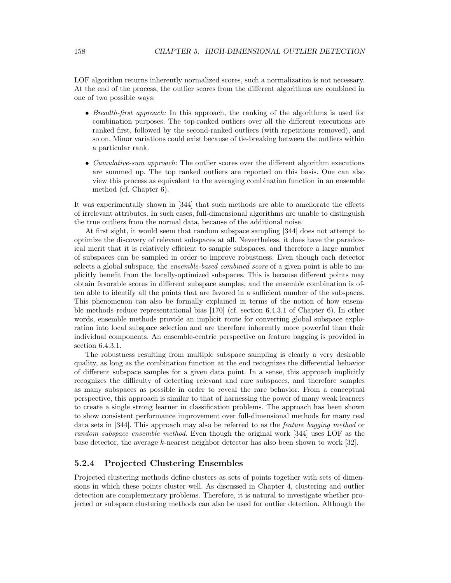LOF algorithm returns inherently normalized scores, such a normalization is not necessary. At the end of the process, the outlier scores from the different algorithms are combined in one of two possible ways:

- *Breadth-first approach:* In this approach, the ranking of the algorithms is used for combination purposes. The top-ranked outliers over all the different executions are ranked first, followed by the second-ranked outliers (with repetitions removed), and so on. Minor variations could exist because of tie-breaking between the outliers within a particular rank.
- *Cumulative-sum approach:* The outlier scores over the different algorithm executions are summed up. The top ranked outliers are reported on this basis. One can also view this process as equivalent to the averaging combination function in an ensemble method (cf. Chapter 6).

It was experimentally shown in [344] that such methods are able to ameliorate the effects of irrelevant attributes. In such cases, full-dimensional algorithms are unable to distinguish the true outliers from the normal data, because of the additional noise.

At first sight, it would seem that random subspace sampling [344] does not attempt to optimize the discovery of relevant subspaces at all. Nevertheless, it does have the paradoxical merit that it is relatively efficient to sample subspaces, and therefore a large number of subspaces can be sampled in order to improve robustness. Even though each detector selects a global subspace, the *ensemble-based combined score* of a given point is able to implicitly benefit from the locally-optimized subspaces. This is because different points may obtain favorable scores in different subspace samples, and the ensemble combination is often able to identify all the points that are favored in a sufficient number of the subspaces. This phenomenon can also be formally explained in terms of the notion of how ensemble methods reduce representational bias [170] (cf. section 6.4.3.1 of Chapter 6). In other words, ensemble methods provide an implicit route for converting global subspace exploration into local subspace selection and are therefore inherently more powerful than their individual components. An ensemble-centric perspective on feature bagging is provided in section 6.4.3.1.

The robustness resulting from multiple subspace sampling is clearly a very desirable quality, as long as the combination function at the end recognizes the differential behavior of different subspace samples for a given data point. In a sense, this approach implicitly recognizes the difficulty of detecting relevant and rare subspaces, and therefore samples as many subspaces as possible in order to reveal the rare behavior. From a conceptual perspective, this approach is similar to that of harnessing the power of many weak learners to create a single strong learner in classification problems. The approach has been shown to show consistent performance improvement over full-dimensional methods for many real data sets in [344]. This approach may also be referred to as the *feature bagging method* or *random subspace ensemble method*. Even though the original work [344] uses LOF as the base detector, the average k-nearest neighbor detector has also been shown to work [32].

#### **5.2.4 Projected Clustering Ensembles**

Projected clustering methods define clusters as sets of points together with sets of dimensions in which these points cluster well. As discussed in Chapter 4, clustering and outlier detection are complementary problems. Therefore, it is natural to investigate whether projected or subspace clustering methods can also be used for outlier detection. Although the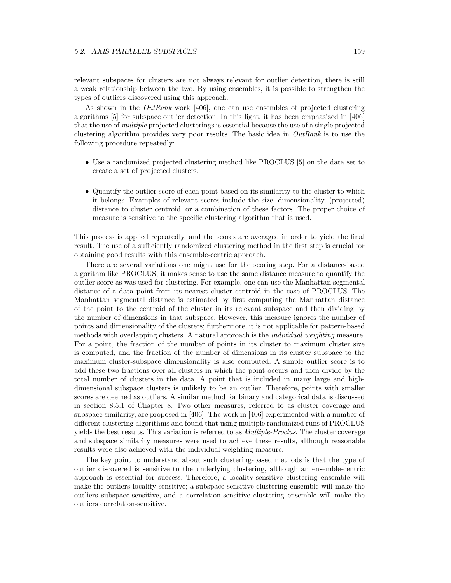relevant subspaces for clusters are not always relevant for outlier detection, there is still a weak relationship between the two. By using ensembles, it is possible to strengthen the types of outliers discovered using this approach.

As shown in the *OutRank* work [406], one can use ensembles of projected clustering algorithms [5] for subspace outlier detection. In this light, it has been emphasized in [406] that the use of *multiple* projected clusterings is essential because the use of a single projected clustering algorithm provides very poor results. The basic idea in *OutRank* is to use the following procedure repeatedly:

- Use a randomized projected clustering method like PROCLUS [5] on the data set to create a set of projected clusters.
- Quantify the outlier score of each point based on its similarity to the cluster to which it belongs. Examples of relevant scores include the size, dimensionality, (projected) distance to cluster centroid, or a combination of these factors. The proper choice of measure is sensitive to the specific clustering algorithm that is used.

This process is applied repeatedly, and the scores are averaged in order to yield the final result. The use of a sufficiently randomized clustering method in the first step is crucial for obtaining good results with this ensemble-centric approach.

There are several variations one might use for the scoring step. For a distance-based algorithm like PROCLUS, it makes sense to use the same distance measure to quantify the outlier score as was used for clustering. For example, one can use the Manhattan segmental distance of a data point from its nearest cluster centroid in the case of PROCLUS. The Manhattan segmental distance is estimated by first computing the Manhattan distance of the point to the centroid of the cluster in its relevant subspace and then dividing by the number of dimensions in that subspace. However, this measure ignores the number of points and dimensionality of the clusters; furthermore, it is not applicable for pattern-based methods with overlapping clusters. A natural approach is the *individual weighting* measure. For a point, the fraction of the number of points in its cluster to maximum cluster size is computed, and the fraction of the number of dimensions in its cluster subspace to the maximum cluster-subspace dimensionality is also computed. A simple outlier score is to add these two fractions over all clusters in which the point occurs and then divide by the total number of clusters in the data. A point that is included in many large and highdimensional subspace clusters is unlikely to be an outlier. Therefore, points with smaller scores are deemed as outliers. A similar method for binary and categorical data is discussed in section 8.5.1 of Chapter 8. Two other measures, referred to as cluster coverage and subspace similarity, are proposed in [406]. The work in [406] experimented with a number of different clustering algorithms and found that using multiple randomized runs of PROCLUS yields the best results. This variation is referred to as *Multiple-Proclus*. The cluster coverage and subspace similarity measures were used to achieve these results, although reasonable results were also achieved with the individual weighting measure.

The key point to understand about such clustering-based methods is that the type of outlier discovered is sensitive to the underlying clustering, although an ensemble-centric approach is essential for success. Therefore, a locality-sensitive clustering ensemble will make the outliers locality-sensitive; a subspace-sensitive clustering ensemble will make the outliers subspace-sensitive, and a correlation-sensitive clustering ensemble will make the outliers correlation-sensitive.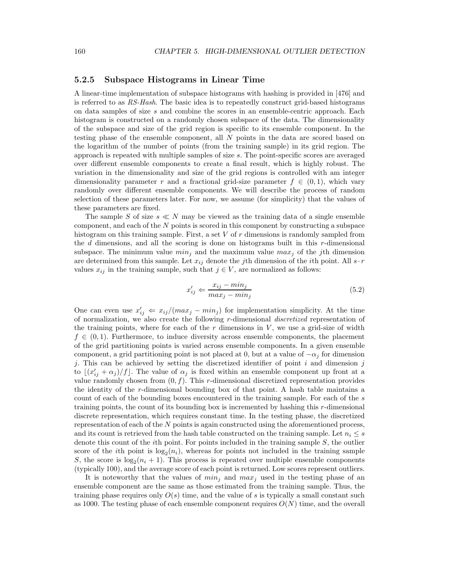#### **5.2.5 Subspace Histograms in Linear Time**

A linear-time implementation of subspace histograms with hashing is provided in [476] and is referred to as *RS-Hash*. The basic idea is to repeatedly construct grid-based histograms on data samples of size s and combine the scores in an ensemble-centric approach. Each histogram is constructed on a randomly chosen subspace of the data. The dimensionality of the subspace and size of the grid region is specific to its ensemble component. In the testing phase of the ensemble component, all N points in the data are scored based on the logarithm of the number of points (from the training sample) in its grid region. The approach is repeated with multiple samples of size s. The point-specific scores are averaged over different ensemble components to create a final result, which is highly robust. The variation in the dimensionality and size of the grid regions is controlled with am integer dimensionality parameter r and a fractional grid-size parameter  $f \in (0,1)$ , which vary randomly over different ensemble components. We will describe the process of random selection of these parameters later. For now, we assume (for simplicity) that the values of these parameters are fixed.

The sample S of size  $s \ll N$  may be viewed as the training data of a single ensemble component, and each of the N points is scored in this component by constructing a subspace histogram on this training sample. First, a set V of r dimensions is randomly sampled from the  $d$  dimensions, and all the scoring is done on histograms built in this  $r$ -dimensional subspace. The minimum value  $min_j$  and the maximum value  $max_j$  of the jth dimension are determined from this sample. Let  $x_{ij}$  denote the jth dimension of the *i*th point. All  $s \cdot r$ values  $x_{ij}$  in the training sample, such that  $j \in V$ , are normalized as follows:

$$
x'_{ij} \Leftarrow \frac{x_{ij} - \min_j}{\max_j - \min_j} \tag{5.2}
$$

One can even use  $x'_{ij} \Leftarrow x_{ij}/(max_j - min_j)$  for implementation simplicity. At the time of normalization, we also create the following r-dimensional *discretized* representation of the training points, where for each of the  $r$  dimensions in  $V$ , we use a grid-size of width  $f \in (0,1)$ . Furthermore, to induce diversity across ensemble components, the placement of the grid partitioning points is varied across ensemble components. In a given ensemble component, a grid partitioning point is not placed at 0, but at a value of  $-\alpha_j$  for dimension j. This can be achieved by setting the discretized identifier of point  $i$  and dimension j to  $\lfloor (x_{ij}^{\prime} + \alpha_j)/f \rfloor$ . The value of  $\alpha_j$  is fixed within an ensemble component up front at a value randomly chosen from  $(0, f)$ . This r-dimensional discretized representation provides the identity of the r-dimensional bounding box of that point. A hash table maintains a count of each of the bounding boxes encountered in the training sample. For each of the s training points, the count of its bounding box is incremented by hashing this r-dimensional discrete representation, which requires constant time. In the testing phase, the discretized representation of each of the N points is again constructed using the aforementioned process, and its count is retrieved from the hash table constructed on the training sample. Let  $n_i \leq s$ denote this count of the *i*th point. For points included in the training sample  $S$ , the outlier score of the *i*th point is  $log_2(n_i)$ , whereas for points not included in the training sample S, the score is  $\log_2(n_i + 1)$ . This process is repeated over multiple ensemble components (typically 100), and the average score of each point is returned. Low scores represent outliers.

It is noteworthy that the values of  $min_j$  and  $max_j$  used in the testing phase of an ensemble component are the same as those estimated from the training sample. Thus, the training phase requires only  $O(s)$  time, and the value of s is typically a small constant such as 1000. The testing phase of each ensemble component requires  $O(N)$  time, and the overall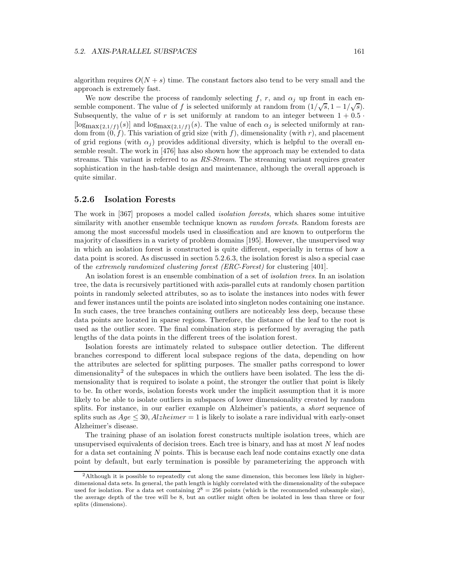algorithm requires  $O(N + s)$  time. The constant factors also tend to be very small and the approach is extremely fast.

We now describe the process of randomly selecting f, r, and  $\alpha_i$  up front in each ensemble component. The value of f is selected uniformly at random from  $(1/\sqrt{s}, 1 - 1/\sqrt{s})$ . Subsequently, the value of r is set uniformly at random to an integer between  $1 + 0.5$ .  $\lbrack \log_{\max\{2,1/f\}}(s)\rbrack$  and  $\log_{\max\{2,1/f\}}(s)$ . The value of each  $\alpha_j$  is selected uniformly at random from  $(0, f)$ . This variation of grid size (with f), dimensionality (with r), and placement of grid regions (with  $\alpha_j$ ) provides additional diversity, which is helpful to the overall ensemble result. The work in [476] has also shown how the approach may be extended to data streams. This variant is referred to as *RS-Stream*. The streaming variant requires greater sophistication in the hash-table design and maintenance, although the overall approach is quite similar.

#### **5.2.6 Isolation Forests**

The work in [367] proposes a model called *isolation forests*, which shares some intuitive similarity with another ensemble technique known as *random forests*. Random forests are among the most successful models used in classification and are known to outperform the majority of classifiers in a variety of problem domains [195]. However, the unsupervised way in which an isolation forest is constructed is quite different, especially in terms of how a data point is scored. As discussed in section 5.2.6.3, the isolation forest is also a special case of the *extremely randomized clustering forest (ERC-Forest)* for clustering [401].

An isolation forest is an ensemble combination of a set of *isolation trees*. In an isolation tree, the data is recursively partitioned with axis-parallel cuts at randomly chosen partition points in randomly selected attributes, so as to isolate the instances into nodes with fewer and fewer instances until the points are isolated into singleton nodes containing one instance. In such cases, the tree branches containing outliers are noticeably less deep, because these data points are located in sparse regions. Therefore, the distance of the leaf to the root is used as the outlier score. The final combination step is performed by averaging the path lengths of the data points in the different trees of the isolation forest.

Isolation forests are intimately related to subspace outlier detection. The different branches correspond to different local subspace regions of the data, depending on how the attributes are selected for splitting purposes. The smaller paths correspond to lower dimensionality<sup>2</sup> of the subspaces in which the outliers have been isolated. The less the dimensionality that is required to isolate a point, the stronger the outlier that point is likely to be. In other words, isolation forests work under the implicit assumption that it is more likely to be able to isolate outliers in subspaces of lower dimensionality created by random splits. For instance, in our earlier example on Alzheimer's patients, a *short* sequence of splits such as  $Age \leq 30, Alzheimer = 1$  is likely to isolate a rare individual with early-onset Alzheimer's disease.

The training phase of an isolation forest constructs multiple isolation trees, which are unsupervised equivalents of decision trees. Each tree is binary, and has at most  $N$  leaf nodes for a data set containing  $N$  points. This is because each leaf node contains exactly one data point by default, but early termination is possible by parameterizing the approach with

<sup>2</sup>Although it is possible to repeatedly cut along the same dimension, this becomes less likely in higherdimensional data sets. In general, the path length is highly correlated with the dimensionality of the subspace used for isolation. For a data set containing  $2^8 = 256$  points (which is the recommended subsample size), the average depth of the tree will be 8, but an outlier might often be isolated in less than three or four splits (dimensions).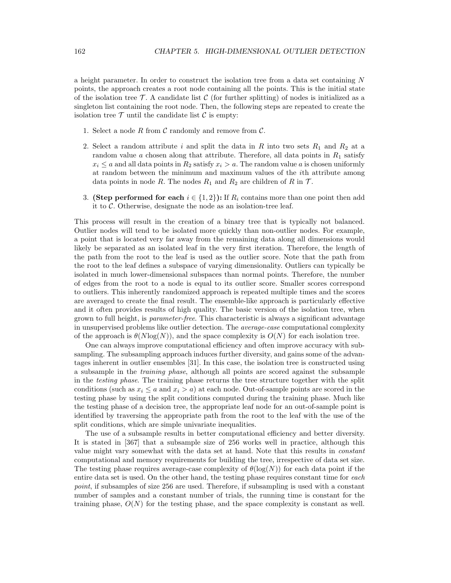a height parameter. In order to construct the isolation tree from a data set containing N points, the approach creates a root node containing all the points. This is the initial state of the isolation tree  $\mathcal T$ . A candidate list  $\mathcal C$  (for further splitting) of nodes is initialized as a singleton list containing the root node. Then, the following steps are repeated to create the isolation tree  $\mathcal T$  until the candidate list  $\mathcal C$  is empty:

- 1. Select a node R from  $\mathcal C$  randomly and remove from  $\mathcal C$ .
- 2. Select a random attribute i and split the data in  $R$  into two sets  $R_1$  and  $R_2$  at a random value a chosen along that attribute. Therefore, all data points in  $R_1$  satisfy  $x_i \le a$  and all data points in  $R_2$  satisfy  $x_i > a$ . The random value a is chosen uniformly at random between the minimum and maximum values of the ith attribute among data points in node R. The nodes  $R_1$  and  $R_2$  are children of R in T.
- 3. **(Step performed for each**  $i \in \{1, 2\}$ ): If  $R_i$  contains more than one point then add it to  $\mathcal{C}$ . Otherwise, designate the node as an isolation-tree leaf.

This process will result in the creation of a binary tree that is typically not balanced. Outlier nodes will tend to be isolated more quickly than non-outlier nodes. For example, a point that is located very far away from the remaining data along all dimensions would likely be separated as an isolated leaf in the very first iteration. Therefore, the length of the path from the root to the leaf is used as the outlier score. Note that the path from the root to the leaf defines a subspace of varying dimensionality. Outliers can typically be isolated in much lower-dimensional subspaces than normal points. Therefore, the number of edges from the root to a node is equal to its outlier score. Smaller scores correspond to outliers. This inherently randomized approach is repeated multiple times and the scores are averaged to create the final result. The ensemble-like approach is particularly effective and it often provides results of high quality. The basic version of the isolation tree, when grown to full height, is *parameter-free*. This characteristic is always a significant advantage in unsupervised problems like outlier detection. The *average-case* computational complexity of the approach is  $\theta(N\log(N))$ , and the space complexity is  $O(N)$  for each isolation tree.

One can always improve computational efficiency and often improve accuracy with subsampling. The subsampling approach induces further diversity, and gains some of the advantages inherent in outlier ensembles [31]. In this case, the isolation tree is constructed using a subsample in the *training phase*, although all points are scored against the subsample in the *testing phase*. The training phase returns the tree structure together with the split conditions (such as  $x_i \le a$  and  $x_i > a$ ) at each node. Out-of-sample points are scored in the testing phase by using the split conditions computed during the training phase. Much like the testing phase of a decision tree, the appropriate leaf node for an out-of-sample point is identified by traversing the appropriate path from the root to the leaf with the use of the split conditions, which are simple univariate inequalities.

The use of a subsample results in better computational efficiency and better diversity. It is stated in [367] that a subsample size of 256 works well in practice, although this value might vary somewhat with the data set at hand. Note that this results in *constant* computational and memory requirements for building the tree, irrespective of data set size. The testing phase requires average-case complexity of  $\theta(\log(N))$  for each data point if the entire data set is used. On the other hand, the testing phase requires constant time for *each point*, if subsamples of size 256 are used. Therefore, if subsampling is used with a constant number of samples and a constant number of trials, the running time is constant for the training phase,  $O(N)$  for the testing phase, and the space complexity is constant as well.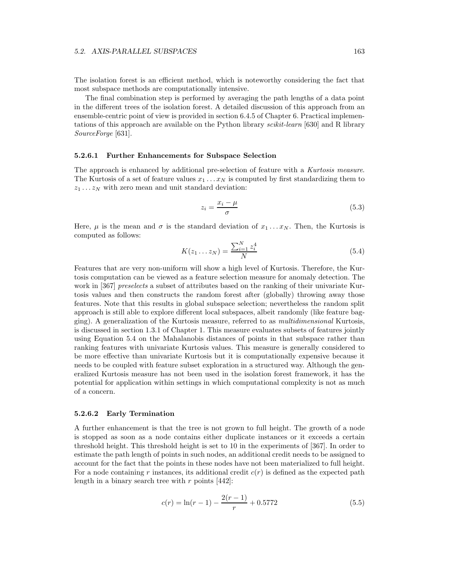The isolation forest is an efficient method, which is noteworthy considering the fact that most subspace methods are computationally intensive.

The final combination step is performed by averaging the path lengths of a data point in the different trees of the isolation forest. A detailed discussion of this approach from an ensemble-centric point of view is provided in section 6.4.5 of Chapter 6. Practical implementations of this approach are available on the Python library *scikit-learn* [630] and R library *SourceForge* [631].

#### **5.2.6.1 Further Enhancements for Subspace Selection**

The approach is enhanced by additional pre-selection of feature with a *Kurtosis measure*. The Kurtosis of a set of feature values  $x_1 \ldots x_N$  is computed by first standardizing them to  $z_1 \ldots z_N$  with zero mean and unit standard deviation:

$$
z_i = \frac{x_i - \mu}{\sigma} \tag{5.3}
$$

Here,  $\mu$  is the mean and  $\sigma$  is the standard deviation of  $x_1 \ldots x_N$ . Then, the Kurtosis is computed as follows:

$$
K(z_1 \dots z_N) = \frac{\sum_{i=1}^N z_i^4}{N} \tag{5.4}
$$

Features that are very non-uniform will show a high level of Kurtosis. Therefore, the Kurtosis computation can be viewed as a feature selection measure for anomaly detection. The work in [367] *preselects* a subset of attributes based on the ranking of their univariate Kurtosis values and then constructs the random forest after (globally) throwing away those features. Note that this results in global subspace selection; nevertheless the random split approach is still able to explore different local subspaces, albeit randomly (like feature bagging). A generalization of the Kurtosis measure, referred to as *multidimensional* Kurtosis, is discussed in section 1.3.1 of Chapter 1. This measure evaluates subsets of features jointly using Equation 5.4 on the Mahalanobis distances of points in that subspace rather than ranking features with univariate Kurtosis values. This measure is generally considered to be more effective than univariate Kurtosis but it is computationally expensive because it needs to be coupled with feature subset exploration in a structured way. Although the generalized Kurtosis measure has not been used in the isolation forest framework, it has the potential for application within settings in which computational complexity is not as much of a concern.

#### **5.2.6.2 Early Termination**

A further enhancement is that the tree is not grown to full height. The growth of a node is stopped as soon as a node contains either duplicate instances or it exceeds a certain threshold height. This threshold height is set to 10 in the experiments of [367]. In order to estimate the path length of points in such nodes, an additional credit needs to be assigned to account for the fact that the points in these nodes have not been materialized to full height. For a node containing r instances, its additional credit  $c(r)$  is defined as the expected path length in a binary search tree with  $r$  points [442]:

$$
c(r) = \ln(r - 1) - \frac{2(r - 1)}{r} + 0.5772
$$
\n(5.5)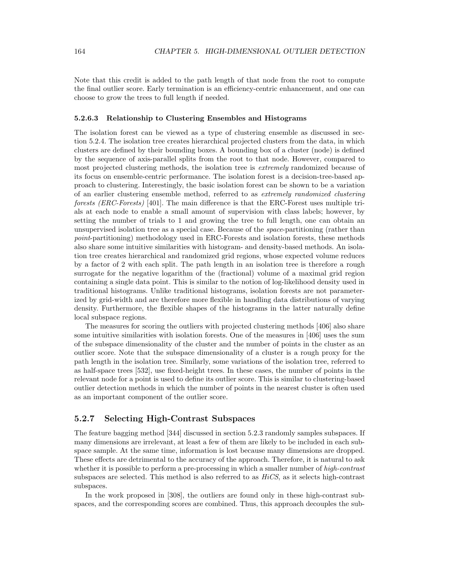Note that this credit is added to the path length of that node from the root to compute the final outlier score. Early termination is an efficiency-centric enhancement, and one can choose to grow the trees to full length if needed.

#### **5.2.6.3 Relationship to Clustering Ensembles and Histograms**

The isolation forest can be viewed as a type of clustering ensemble as discussed in section 5.2.4. The isolation tree creates hierarchical projected clusters from the data, in which clusters are defined by their bounding boxes. A bounding box of a cluster (node) is defined by the sequence of axis-parallel splits from the root to that node. However, compared to most projected clustering methods, the isolation tree is *extremely* randomized because of its focus on ensemble-centric performance. The isolation forest is a decision-tree-based approach to clustering. Interestingly, the basic isolation forest can be shown to be a variation of an earlier clustering ensemble method, referred to as *extremely randomized clustering forests (ERC-Forests)* [401]. The main difference is that the ERC-Forest uses multiple trials at each node to enable a small amount of supervision with class labels; however, by setting the number of trials to 1 and growing the tree to full length, one can obtain an unsupervised isolation tree as a special case. Because of the *space*-partitioning (rather than *point*-partitioning) methodology used in ERC-Forests and isolation forests, these methods also share some intuitive similarities with histogram- and density-based methods. An isolation tree creates hierarchical and randomized grid regions, whose expected volume reduces by a factor of 2 with each split. The path length in an isolation tree is therefore a rough surrogate for the negative logarithm of the (fractional) volume of a maximal grid region containing a single data point. This is similar to the notion of log-likelihood density used in traditional histograms. Unlike traditional histograms, isolation forests are not parameterized by grid-width and are therefore more flexible in handling data distributions of varying density. Furthermore, the flexible shapes of the histograms in the latter naturally define local subspace regions.

The measures for scoring the outliers with projected clustering methods [406] also share some intuitive similarities with isolation forests. One of the measures in [406] uses the sum of the subspace dimensionality of the cluster and the number of points in the cluster as an outlier score. Note that the subspace dimensionality of a cluster is a rough proxy for the path length in the isolation tree. Similarly, some variations of the isolation tree, referred to as half-space trees [532], use fixed-height trees. In these cases, the number of points in the relevant node for a point is used to define its outlier score. This is similar to clustering-based outlier detection methods in which the number of points in the nearest cluster is often used as an important component of the outlier score.

#### **5.2.7 Selecting High-Contrast Subspaces**

The feature bagging method [344] discussed in section 5.2.3 randomly samples subspaces. If many dimensions are irrelevant, at least a few of them are likely to be included in each subspace sample. At the same time, information is lost because many dimensions are dropped. These effects are detrimental to the accuracy of the approach. Therefore, it is natural to ask whether it is possible to perform a pre-processing in which a smaller number of *high-contrast* subspaces are selected. This method is also referred to as *HiCS*, as it selects high-contrast subspaces.

In the work proposed in [308], the outliers are found only in these high-contrast subspaces, and the corresponding scores are combined. Thus, this approach decouples the sub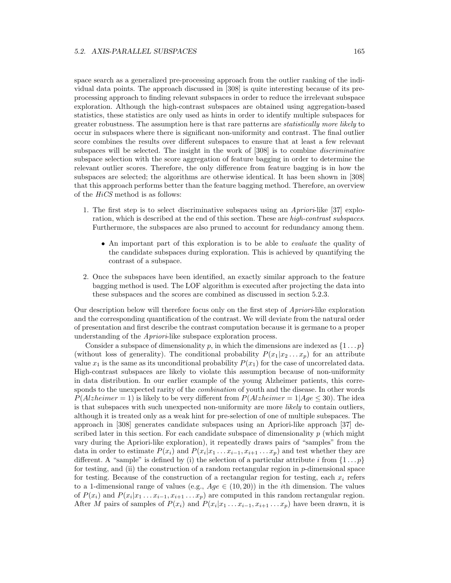space search as a generalized pre-processing approach from the outlier ranking of the individual data points. The approach discussed in [308] is quite interesting because of its preprocessing approach to finding relevant subspaces in order to reduce the irrelevant subspace exploration. Although the high-contrast subspaces are obtained using aggregation-based statistics, these statistics are only used as hints in order to identify multiple subspaces for greater robustness. The assumption here is that rare patterns are *statistically more likely* to occur in subspaces where there is significant non-uniformity and contrast. The final outlier score combines the results over different subspaces to ensure that at least a few relevant subspaces will be selected. The insight in the work of [308] is to combine *discriminative* subspace selection with the score aggregation of feature bagging in order to determine the relevant outlier scores. Therefore, the only difference from feature bagging is in how the subspaces are selected; the algorithms are otherwise identical. It has been shown in [308] that this approach performs better than the feature bagging method. Therefore, an overview of the *HiCS* method is as follows:

- 1. The first step is to select discriminative subspaces using an *Apriori*-like [37] exploration, which is described at the end of this section. These are *high-contrast subspaces*. Furthermore, the subspaces are also pruned to account for redundancy among them.
	- An important part of this exploration is to be able to *evaluate* the quality of the candidate subspaces during exploration. This is achieved by quantifying the contrast of a subspace.
- 2. Once the subspaces have been identified, an exactly similar approach to the feature bagging method is used. The LOF algorithm is executed after projecting the data into these subspaces and the scores are combined as discussed in section 5.2.3.

Our description below will therefore focus only on the first step of *Apriori*-like exploration and the corresponding quantification of the contrast. We will deviate from the natural order of presentation and first describe the contrast computation because it is germane to a proper understanding of the *Apriori*-like subspace exploration process.

Consider a subspace of dimensionality p, in which the dimensions are indexed as  $\{1 \dots p\}$ (without loss of generality). The conditional probability  $P(x_1|x_2...x_p)$  for an attribute value  $x_1$  is the same as its unconditional probability  $P(x_1)$  for the case of uncorrelated data. High-contrast subspaces are likely to violate this assumption because of non-uniformity in data distribution. In our earlier example of the young Alzheimer patients, this corresponds to the unexpected rarity of the *combination* of youth and the disease. In other words  $P(Alzheimer = 1)$  is likely to be very different from  $P(Alzheimer = 1|Age \leq 30)$ . The idea is that subspaces with such unexpected non-uniformity are more *likely* to contain outliers, although it is treated only as a weak hint for pre-selection of one of multiple subspaces. The approach in [308] generates candidate subspaces using an Apriori-like approach [37] described later in this section. For each candidate subspace of dimensionality  $p$  (which might vary during the Apriori-like exploration), it repeatedly draws pairs of "samples" from the data in order to estimate  $P(x_i)$  and  $P(x_i|x_1 \ldots x_{i-1}, x_{i+1} \ldots x_n)$  and test whether they are different. A "sample" is defined by (i) the selection of a particular attribute i from  $\{1 \dots p\}$ for testing, and (ii) the construction of a random rectangular region in  $p$ -dimensional space for testing. Because of the construction of a rectangular region for testing, each  $x_i$  refers to a 1-dimensional range of values (e.g.,  $Age \in (10, 20)$ ) in the *i*th dimension. The values of  $P(x_i)$  and  $P(x_i|x_1 \ldots x_{i-1}, x_{i+1} \ldots x_p)$  are computed in this random rectangular region. After M pairs of samples of  $P(x_i)$  and  $P(x_i|x_1 \ldots x_{i-1}, x_{i+1} \ldots x_p)$  have been drawn, it is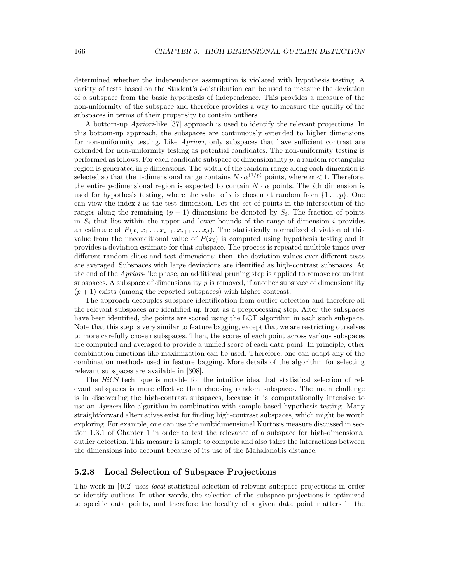determined whether the independence assumption is violated with hypothesis testing. A variety of tests based on the Student's t-distribution can be used to measure the deviation of a subspace from the basic hypothesis of independence. This provides a measure of the non-uniformity of the subspace and therefore provides a way to measure the quality of the subspaces in terms of their propensity to contain outliers.

A bottom-up *Apriori*-like [37] approach is used to identify the relevant projections. In this bottom-up approach, the subspaces are continuously extended to higher dimensions for non-uniformity testing. Like *Apriori*, only subspaces that have sufficient contrast are extended for non-uniformity testing as potential candidates. The non-uniformity testing is performed as follows. For each candidate subspace of dimensionality p, a random rectangular region is generated in p dimensions. The width of the random range along each dimension is selected so that the 1-dimensional range contains  $N \cdot \alpha^{(1/p)}$  points, where  $\alpha < 1$ . Therefore, the entire p-dimensional region is expected to contain  $N \cdot \alpha$  points. The *i*th dimension is used for hypothesis testing, where the value of i is chosen at random from  $\{1 \dots p\}$ . One can view the index  $i$  as the test dimension. Let the set of points in the intersection of the ranges along the remaining  $(p - 1)$  dimensions be denoted by  $S_i$ . The fraction of points in  $S_i$  that lies within the upper and lower bounds of the range of dimension i provides an estimate of  $P(x_i|x_1 \ldots x_{i-1}, x_{i+1} \ldots x_d)$ . The statistically normalized deviation of this value from the unconditional value of  $P(x_i)$  is computed using hypothesis testing and it provides a deviation estimate for that subspace. The process is repeated multiple times over different random slices and test dimensions; then, the deviation values over different tests are averaged. Subspaces with large deviations are identified as high-contrast subspaces. At the end of the *Apriori*-like phase, an additional pruning step is applied to remove redundant subspaces. A subspace of dimensionality  $p$  is removed, if another subspace of dimensionality  $(p+1)$  exists (among the reported subspaces) with higher contrast.

The approach decouples subspace identification from outlier detection and therefore all the relevant subspaces are identified up front as a preprocessing step. After the subspaces have been identified, the points are scored using the LOF algorithm in each such subspace. Note that this step is very similar to feature bagging, except that we are restricting ourselves to more carefully chosen subspaces. Then, the scores of each point across various subspaces are computed and averaged to provide a unified score of each data point. In principle, other combination functions like maximization can be used. Therefore, one can adapt any of the combination methods used in feature bagging. More details of the algorithm for selecting relevant subspaces are available in [308].

The *HiCS* technique is notable for the intuitive idea that statistical selection of relevant subspaces is more effective than choosing random subspaces. The main challenge is in discovering the high-contrast subspaces, because it is computationally intensive to use an *Apriori*-like algorithm in combination with sample-based hypothesis testing. Many straightforward alternatives exist for finding high-contrast subspaces, which might be worth exploring. For example, one can use the multidimensional Kurtosis measure discussed in section 1.3.1 of Chapter 1 in order to test the relevance of a subspace for high-dimensional outlier detection. This measure is simple to compute and also takes the interactions between the dimensions into account because of its use of the Mahalanobis distance.

#### **5.2.8 Local Selection of Subspace Projections**

The work in [402] uses *local* statistical selection of relevant subspace projections in order to identify outliers. In other words, the selection of the subspace projections is optimized to specific data points, and therefore the locality of a given data point matters in the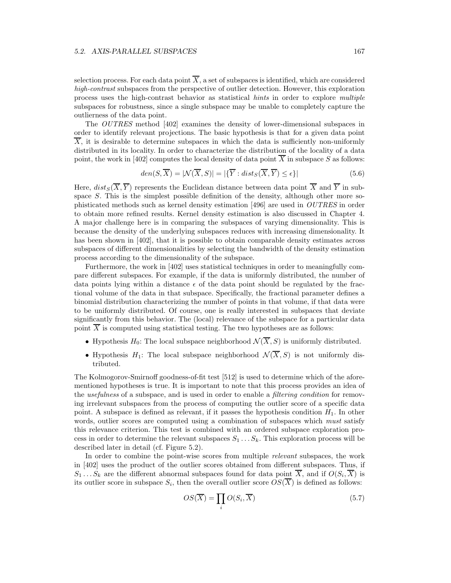selection process. For each data point  $\overline{X}$ , a set of subspaces is identified, which are considered *high-contrast* subspaces from the perspective of outlier detection. However, this exploration process uses the high-contrast behavior as statistical *hints* in order to explore *multiple* subspaces for robustness, since a single subspace may be unable to completely capture the outlierness of the data point.

The *OUTRES* method [402] examines the density of lower-dimensional subspaces in order to identify relevant projections. The basic hypothesis is that for a given data point  $\overline{X}$ , it is desirable to determine subspaces in which the data is sufficiently non-uniformly distributed in its locality. In order to characterize the distribution of the locality of a data point, the work in [402] computes the local density of data point  $\overline{X}$  in subspace S as follows:

$$
den(S, \overline{X}) = |\mathcal{N}(\overline{X}, S)| = |\{\overline{Y} : dist_S(\overline{X}, \overline{Y}) \le \epsilon\}| \tag{5.6}
$$

Here,  $dist_S(\overline{X}, \overline{Y})$  represents the Euclidean distance between data point  $\overline{X}$  and  $\overline{Y}$  in subspace S. This is the simplest possible definition of the density, although other more sophisticated methods such as kernel density estimation [496] are used in *OUTRES* in order to obtain more refined results. Kernel density estimation is also discussed in Chapter 4. A major challenge here is in comparing the subspaces of varying dimensionality. This is because the density of the underlying subspaces reduces with increasing dimensionality. It has been shown in [402], that it is possible to obtain comparable density estimates across subspaces of different dimensionalities by selecting the bandwidth of the density estimation process according to the dimensionality of the subspace.

Furthermore, the work in [402] uses statistical techniques in order to meaningfully compare different subspaces. For example, if the data is uniformly distributed, the number of data points lying within a distance  $\epsilon$  of the data point should be regulated by the fractional volume of the data in that subspace. Specifically, the fractional parameter defines a binomial distribution characterizing the number of points in that volume, if that data were to be uniformly distributed. Of course, one is really interested in subspaces that deviate significantly from this behavior. The (local) relevance of the subspace for a particular data point  $\overline{X}$  is computed using statistical testing. The two hypotheses are as follows:

- Hypothesis  $H_0$ : The local subspace neighborhood  $\mathcal{N}(\overline{X}, S)$  is uniformly distributed.
- Hypothesis  $H_1$ : The local subspace neighborhood  $\mathcal{N}(\overline{X}, S)$  is not uniformly distributed.

The Kolmogorov-Smirnoff goodness-of-fit test [512] is used to determine which of the aforementioned hypotheses is true. It is important to note that this process provides an idea of the *usefulness* of a subspace, and is used in order to enable a *filtering condition* for removing irrelevant subspaces from the process of computing the outlier score of a specific data point. A subspace is defined as relevant, if it passes the hypothesis condition  $H_1$ . In other words, outlier scores are computed using a combination of subspaces which *must* satisfy this relevance criterion. This test is combined with an ordered subspace exploration process in order to determine the relevant subspaces  $S_1 \ldots S_k$ . This exploration process will be described later in detail (cf. Figure 5.2).

In order to combine the point-wise scores from multiple *relevant* subspaces, the work in [402] uses the product of the outlier scores obtained from different subspaces. Thus, if  $S_1 \ldots S_k$  are the different abnormal subspaces found for data point  $\overline{X}$ , and if  $O(S_i, \overline{X})$  is its outlier score in subspace  $S_i$ , then the overall outlier score  $OS(\overline{X})$  is defined as follows:

$$
OS(\overline{X}) = \prod_{i} O(S_i, \overline{X})
$$
\n(5.7)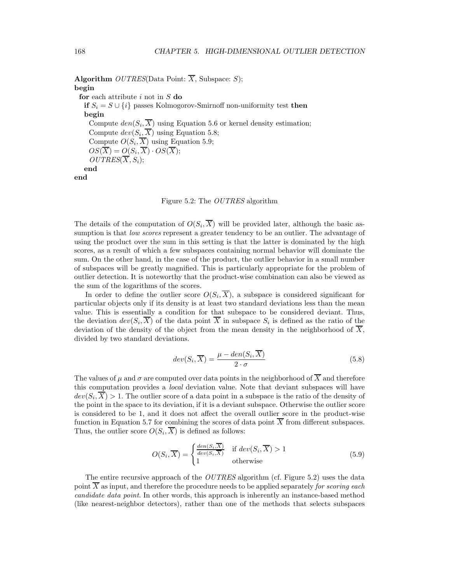**Algorithm** *OUTRES*(Data Point:  $\overline{X}$ , Subspace: S); **begin for** each attribute i not in S **do if**  $S_i = S \cup \{i\}$  passes Kolmogorov-Smirnoff non-uniformity test **then begin** Compute  $den(S_i, \overline{X})$  using Equation 5.6 or kernel density estimation; Compute  $dev(S_i, \overline{X})$  using Equation 5.8; Compute  $O(S_i, \overline{X})$  using Equation 5.9;  $OS(\overline{X}) = O(S_i, \overline{X}) \cdot OS(\overline{X});$  $OUTRES(\overline{X},S_i);$ **end end**

Figure 5.2: The *OUTRES* algorithm

The details of the computation of  $O(S_i, \overline{X})$  will be provided later, although the basic assumption is that *low scores* represent a greater tendency to be an outlier. The advantage of using the product over the sum in this setting is that the latter is dominated by the high scores, as a result of which a few subspaces containing normal behavior will dominate the sum. On the other hand, in the case of the product, the outlier behavior in a small number of subspaces will be greatly magnified. This is particularly appropriate for the problem of outlier detection. It is noteworthy that the product-wise combination can also be viewed as the sum of the logarithms of the scores.

In order to define the outlier score  $O(S_i, \overline{X})$ , a subspace is considered significant for particular objects only if its density is at least two standard deviations less than the mean value. This is essentially a condition for that subspace to be considered deviant. Thus, the deviation  $dev(S_i, \overline{X})$  of the data point  $\overline{X}$  in subspace  $S_i$  is defined as the ratio of the deviation of the density of the object from the mean density in the neighborhood of  $\overline{X}$ , divided by two standard deviations.

$$
dev(S_i, \overline{X}) = \frac{\mu - den(S_i, \overline{X})}{2 \cdot \sigma}
$$
\n(5.8)

The values of  $\mu$  and  $\sigma$  are computed over data points in the neighborhood of  $\overline{X}$  and therefore this computation provides a *local* deviation value. Note that deviant subspaces will have  $dev(S_i, \overline{X}) > 1$ . The outlier score of a data point in a subspace is the ratio of the density of the point in the space to its deviation, if it is a deviant subspace. Otherwise the outlier score is considered to be 1, and it does not affect the overall outlier score in the product-wise function in Equation 5.7 for combining the scores of data point  $\overline{X}$  from different subspaces. Thus, the outlier score  $O(S_i, \overline{X})$  is defined as follows:

$$
O(S_i, \overline{X}) = \begin{cases} \frac{den(S_i, \overline{X})}{dev(S_i, \overline{X})} & \text{if } dev(S_i, \overline{X}) > 1\\ 1 & \text{otherwise} \end{cases}
$$
(5.9)

The entire recursive approach of the *OUTRES* algorithm (cf. Figure 5.2) uses the data point  $\overline{X}$  as input, and therefore the procedure needs to be applied separately *for scoring each candidate data point*. In other words, this approach is inherently an instance-based method (like nearest-neighbor detectors), rather than one of the methods that selects subspaces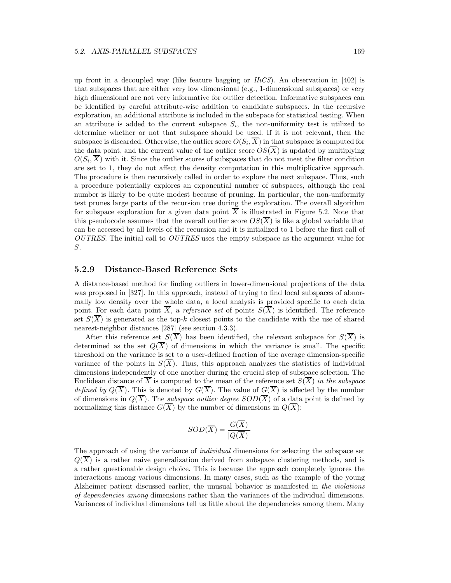up front in a decoupled way (like feature bagging or *HiCS*). An observation in [402] is that subspaces that are either very low dimensional (e.g., 1-dimensional subspaces) or very high dimensional are not very informative for outlier detection. Informative subspaces can be identified by careful attribute-wise addition to candidate subspaces. In the recursive exploration, an additional attribute is included in the subspace for statistical testing. When an attribute is added to the current subspace  $S_i$ , the non-uniformity test is utilized to determine whether or not that subspace should be used. If it is not relevant, then the subspace is discarded. Otherwise, the outlier score  $O(S_i, \overline{X})$  in that subspace is computed for the data point, and the current value of the outlier score  $OS(\overline{X})$  is updated by multiplying  $O(S_i, \overline{X})$  with it. Since the outlier scores of subspaces that do not meet the filter condition are set to 1, they do not affect the density computation in this multiplicative approach. The procedure is then recursively called in order to explore the next subspace. Thus, such a procedure potentially explores an exponential number of subspaces, although the real number is likely to be quite modest because of pruning. In particular, the non-uniformity test prunes large parts of the recursion tree during the exploration. The overall algorithm for subspace exploration for a given data point  $\overline{X}$  is illustrated in Figure 5.2. Note that this pseudocode assumes that the overall outlier score  $OS(\overline{X})$  is like a global variable that can be accessed by all levels of the recursion and it is initialized to 1 before the first call of *OUTRES*. The initial call to *OUTRES* uses the empty subspace as the argument value for S.

#### **5.2.9 Distance-Based Reference Sets**

A distance-based method for finding outliers in lower-dimensional projections of the data was proposed in [327]. In this approach, instead of trying to find local subspaces of abnormally low density over the whole data, a local analysis is provided specific to each data point. For each data point  $\overline{X}$ , a *reference set* of points  $S(\overline{X})$  is identified. The reference set  $S(\overline{X})$  is generated as the top-k closest points to the candidate with the use of shared nearest-neighbor distances [287] (see section 4.3.3).

After this reference set  $S(\overline{X})$  has been identified, the relevant subspace for  $S(\overline{X})$  is determined as the set  $Q(\overline{X})$  of dimensions in which the variance is small. The specific threshold on the variance is set to a user-defined fraction of the average dimension-specific variance of the points in  $S(\overline{X})$ . Thus, this approach analyzes the statistics of individual dimensions independently of one another during the crucial step of subspace selection. The Euclidean distance of  $\overline{X}$  is computed to the mean of the reference set  $S(\overline{X})$  *in the subspace defined by*  $Q(\overline{X})$ . This is denoted by  $G(\overline{X})$ . The value of  $G(\overline{X})$  is affected by the number of dimensions in  $Q(\overline{X})$ . The *subspace outlier degree*  $SOD(\overline{X})$  of a data point is defined by normalizing this distance  $G(\overline{X})$  by the number of dimensions in  $Q(\overline{X})$ :

$$
SOD(\overline{X}) = \frac{G(\overline{X})}{|Q(\overline{X})|}
$$

The approach of using the variance of *individual* dimensions for selecting the subspace set  $Q(X)$  is a rather naive generalization derived from subspace clustering methods, and is a rather questionable design choice. This is because the approach completely ignores the interactions among various dimensions. In many cases, such as the example of the young Alzheimer patient discussed earlier, the unusual behavior is manifested in *the violations of dependencies among* dimensions rather than the variances of the individual dimensions. Variances of individual dimensions tell us little about the dependencies among them. Many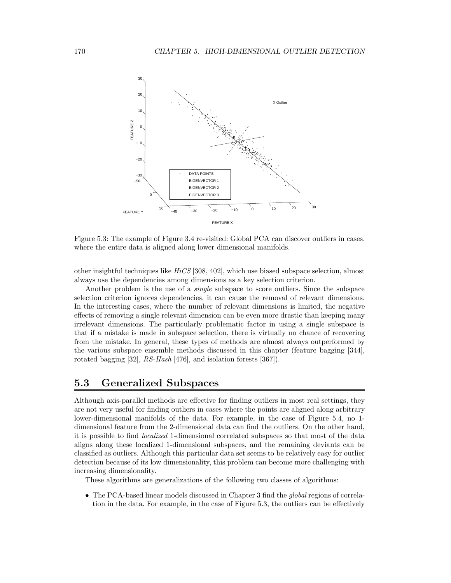

Figure 5.3: The example of Figure 3.4 re-visited: Global PCA can discover outliers in cases, where the entire data is aligned along lower dimensional manifolds.

other insightful techniques like *HiCS* [308, 402], which use biased subspace selection, almost always use the dependencies among dimensions as a key selection criterion.

Another problem is the use of a *single* subspace to score outliers. Since the subspace selection criterion ignores dependencies, it can cause the removal of relevant dimensions. In the interesting cases, where the number of relevant dimensions is limited, the negative effects of removing a single relevant dimension can be even more drastic than keeping many irrelevant dimensions. The particularly problematic factor in using a single subspace is that if a mistake is made in subspace selection, there is virtually no chance of recovering from the mistake. In general, these types of methods are almost always outperformed by the various subspace ensemble methods discussed in this chapter (feature bagging [344], rotated bagging [32], *RS-Hash* [476], and isolation forests [367]).

## **5.3 Generalized Subspaces**

Although axis-parallel methods are effective for finding outliers in most real settings, they are not very useful for finding outliers in cases where the points are aligned along arbitrary lower-dimensional manifolds of the data. For example, in the case of Figure 5.4, no 1 dimensional feature from the 2-dimensional data can find the outliers. On the other hand, it is possible to find *localized* 1-dimensional correlated subspaces so that most of the data aligns along these localized 1-dimensional subspaces, and the remaining deviants can be classified as outliers. Although this particular data set seems to be relatively easy for outlier detection because of its low dimensionality, this problem can become more challenging with increasing dimensionality.

These algorithms are generalizations of the following two classes of algorithms:

• The PCA-based linear models discussed in Chapter 3 find the *global* regions of correlation in the data. For example, in the case of Figure 5.3, the outliers can be effectively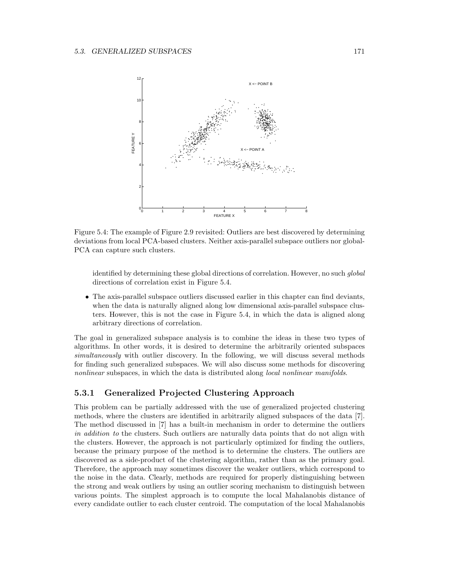

Figure 5.4: The example of Figure 2.9 revisited: Outliers are best discovered by determining deviations from local PCA-based clusters. Neither axis-parallel subspace outliers nor global-PCA can capture such clusters.

identified by determining these global directions of correlation. However, no such *global* directions of correlation exist in Figure 5.4.

• The axis-parallel subspace outliers discussed earlier in this chapter can find deviants, when the data is naturally aligned along low dimensional axis-parallel subspace clusters. However, this is not the case in Figure 5.4, in which the data is aligned along arbitrary directions of correlation.

The goal in generalized subspace analysis is to combine the ideas in these two types of algorithms. In other words, it is desired to determine the arbitrarily oriented subspaces *simultaneously* with outlier discovery. In the following, we will discuss several methods for finding such generalized subspaces. We will also discuss some methods for discovering *nonlinear* subspaces, in which the data is distributed along *local nonlinear manifolds*.

## **5.3.1 Generalized Projected Clustering Approach**

This problem can be partially addressed with the use of generalized projected clustering methods, where the clusters are identified in arbitrarily aligned subspaces of the data [7]. The method discussed in [7] has a built-in mechanism in order to determine the outliers *in addition to* the clusters. Such outliers are naturally data points that do not align with the clusters. However, the approach is not particularly optimized for finding the outliers, because the primary purpose of the method is to determine the clusters. The outliers are discovered as a side-product of the clustering algorithm, rather than as the primary goal. Therefore, the approach may sometimes discover the weaker outliers, which correspond to the noise in the data. Clearly, methods are required for properly distinguishing between the strong and weak outliers by using an outlier scoring mechanism to distinguish between various points. The simplest approach is to compute the local Mahalanobis distance of every candidate outlier to each cluster centroid. The computation of the local Mahalanobis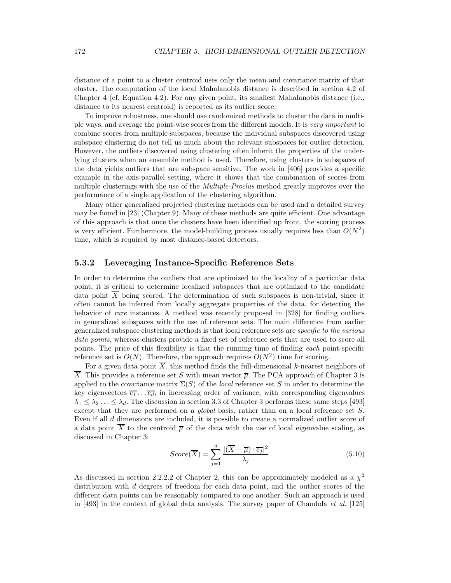distance of a point to a cluster centroid uses only the mean and covariance matrix of that cluster. The computation of the local Mahalanobis distance is described in section 4.2 of Chapter 4 (cf. Equation 4.2). For any given point, its smallest Mahalanobis distance (i.e., distance to its nearest centroid) is reported as its outlier score.

To improve robustness, one should use randomized methods to cluster the data in multiple ways, and average the point-wise scores from the different models. It is *very important* to combine scores from multiple subspaces, because the individual subspaces discovered using subspace clustering do not tell us much about the relevant subspaces for outlier detection. However, the outliers discovered using clustering often inherit the properties of the underlying clusters when an ensemble method is used. Therefore, using clusters in subspaces of the data yields outliers that are subspace sensitive. The work in [406] provides a specific example in the axis-parallel setting, where it shows that the combination of scores from multiple clusterings with the use of the *Multiple-Proclus* method greatly improves over the performance of a single application of the clustering algorithm.

Many other generalized projected clustering methods can be used and a detailed survey may be found in [23] (Chapter 9). Many of these methods are quite efficient. One advantage of this approach is that once the clusters have been identified up front, the scoring process is very efficient. Furthermore, the model-building process usually requires less than  $O(N^2)$ time, which is required by most distance-based detectors.

#### **5.3.2 Leveraging Instance-Specific Reference Sets**

In order to determine the outliers that are optimized to the locality of a particular data point, it is critical to determine localized subspaces that are optimized to the candidate data point X being scored. The determination of such subspaces is non-trivial, since it often cannot be inferred from locally aggregate properties of the data, for detecting the behavior of *rare* instances. A method was recently proposed in [328] for finding outliers in generalized subspaces with the use of reference sets. The main difference from earlier generalized subspace clustering methods is that local reference sets are *specific to the various data points*, whereas clusters provide a fixed set of reference sets that are used to score all points. The price of this flexibility is that the running time of finding *each* point-specific reference set is  $O(N)$ . Therefore, the approach requires  $O(N^2)$  time for scoring.

For a given data point  $\overline{X}$ , this method finds the full-dimensional k-nearest neighbors of  $\overline{X}$ . This provides a reference set S with mean vector  $\overline{\mu}$ . The PCA approach of Chapter 3 is applied to the covariance matrix  $\Sigma(S)$  of the *local* reference set S in order to determine the key eigenvectors  $\overline{e_1} \ldots \overline{e_d}$ , in increasing order of variance, with corresponding eigenvalues  $\lambda_1 \leq \lambda_2 \ldots \leq \lambda_d$ . The discussion in section 3.3 of Chapter 3 performs these same steps [493] except that they are performed on a *global* basis, rather than on a local reference set S. Even if all d dimensions are included, it is possible to create a normalized outlier score of a data point X to the centroid  $\overline{\mu}$  of the data with the use of local eigenvalue scaling, as discussed in Chapter 3:

$$
Score(\overline{X}) = \sum_{j=1}^{d} \frac{|(\overline{X} - \overline{\mu}) \cdot \overline{e_j}|^2}{\lambda_j}
$$
(5.10)

As discussed in section 2.2.2.2 of Chapter 2, this can be approximately modeled as a  $\chi^2$ distribution with d degrees of freedom for each data point, and the outlier scores of the different data points can be reasonably compared to one another. Such an approach is used in [493] in the context of global data analysis. The survey paper of Chandola *et al.* [125]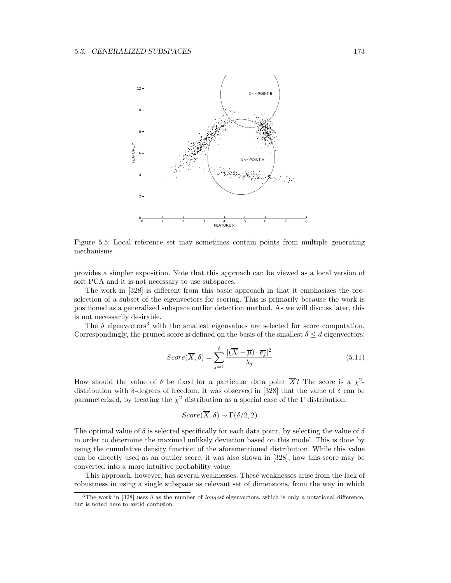

Figure 5.5: Local reference set may sometimes contain points from multiple generating mechanisms

provides a simpler exposition. Note that this approach can be viewed as a local version of soft PCA and it is not necessary to use subspaces.

The work in [328] is different from this basic approach in that it emphasizes the preselection of a subset of the eigenvectors for scoring. This is primarily because the work is positioned as a generalized subspace outlier detection method. As we will discuss later, this is not necessarily desirable.

The  $\delta$  eigenvectors<sup>3</sup> with the smallest eigenvalues are selected for score computation. Correspondingly, the pruned score is defined on the basis of the smallest  $\delta \leq d$  eigenvectors:

$$
Score(\overline{X}, \delta) = \sum_{j=1}^{\delta} \frac{|(\overline{X} - \overline{\mu}) \cdot \overline{e_j}|^2}{\lambda_j}
$$
(5.11)

How should the value of  $\delta$  be fixed for a particular data point  $\overline{X}$ ? The score is a  $\chi^2$ distribution with  $\delta$ -degrees of freedom. It was observed in [328] that the value of  $\delta$  can be parameterized, by treating the  $\chi^2$  distribution as a special case of the Γ distribution.

$$
Score(\overline{X}, \delta) \sim \Gamma(\delta/2, 2)
$$

The optimal value of  $\delta$  is selected specifically for each data point, by selecting the value of  $\delta$ in order to determine the maximal unlikely deviation based on this model. This is done by using the cumulative density function of the aforementioned distribution. While this value can be directly used as an outlier score, it was also shown in [328], how this score may be converted into a more intuitive probability value.

This approach, however, has several weaknesses. These weaknesses arise from the lack of robustness in using a single subspace as relevant set of dimensions, from the way in which

 $\frac{3}{10}$  The work in [328] uses  $\delta$  as the number of *longest* eigenvectors, which is only a notational difference, but is noted here to avoid confusion.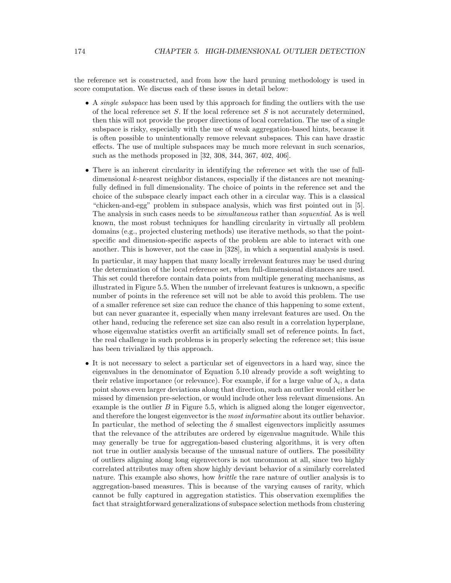the reference set is constructed, and from how the hard pruning methodology is used in score computation. We discuss each of these issues in detail below:

- A *single subspace* has been used by this approach for finding the outliers with the use of the local reference set  $S$ . If the local reference set  $S$  is not accurately determined, then this will not provide the proper directions of local correlation. The use of a single subspace is risky, especially with the use of weak aggregation-based hints, because it is often possible to unintentionally remove relevant subspaces. This can have drastic effects. The use of multiple subspaces may be much more relevant in such scenarios, such as the methods proposed in [32, 308, 344, 367, 402, 406].
- There is an inherent circularity in identifying the reference set with the use of fulldimensional k-nearest neighbor distances, especially if the distances are not meaningfully defined in full dimensionality. The choice of points in the reference set and the choice of the subspace clearly impact each other in a circular way. This is a classical "chicken-and-egg" problem in subspace analysis, which was first pointed out in [5]. The analysis in such cases needs to be *simultaneous* rather than *sequential*. As is well known, the most robust techniques for handling circularity in virtually all problem domains (e.g., projected clustering methods) use iterative methods, so that the pointspecific and dimension-specific aspects of the problem are able to interact with one another. This is however, not the case in [328], in which a sequential analysis is used.

In particular, it may happen that many locally irrelevant features may be used during the determination of the local reference set, when full-dimensional distances are used. This set could therefore contain data points from multiple generating mechanisms, as illustrated in Figure 5.5. When the number of irrelevant features is unknown, a specific number of points in the reference set will not be able to avoid this problem. The use of a smaller reference set size can reduce the chance of this happening to some extent, but can never guarantee it, especially when many irrelevant features are used. On the other hand, reducing the reference set size can also result in a correlation hyperplane, whose eigenvalue statistics overfit an artificially small set of reference points. In fact, the real challenge in such problems is in properly selecting the reference set; this issue has been trivialized by this approach.

• It is not necessary to select a particular set of eigenvectors in a hard way, since the eigenvalues in the denominator of Equation 5.10 already provide a soft weighting to their relative importance (or relevance). For example, if for a large value of  $\lambda_i$ , a data point shows even larger deviations along that direction, such an outlier would either be missed by dimension pre-selection, or would include other less relevant dimensions. An example is the outlier  $B$  in Figure 5.5, which is aligned along the longer eigenvector, and therefore the longest eigenvector is the *most informative* about its outlier behavior. In particular, the method of selecting the  $\delta$  smallest eigenvectors implicitly assumes that the relevance of the attributes are ordered by eigenvalue magnitude. While this may generally be true for aggregation-based clustering algorithms, it is very often not true in outlier analysis because of the unusual nature of outliers. The possibility of outliers aligning along long eigenvectors is not uncommon at all, since two highly correlated attributes may often show highly deviant behavior of a similarly correlated nature. This example also shows, how *brittle* the rare nature of outlier analysis is to aggregation-based measures. This is because of the varying causes of rarity, which cannot be fully captured in aggregation statistics. This observation exemplifies the fact that straightforward generalizations of subspace selection methods from clustering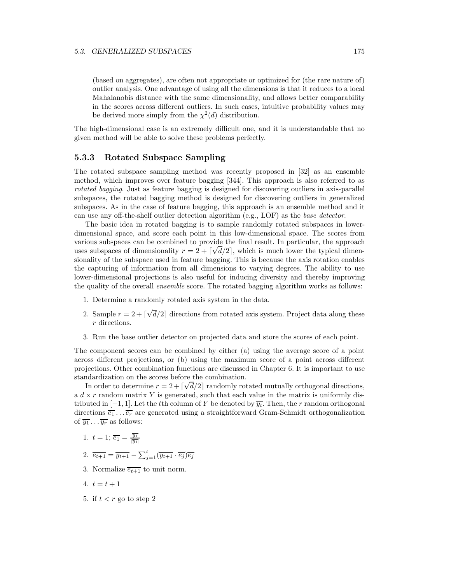(based on aggregates), are often not appropriate or optimized for (the rare nature of) outlier analysis. One advantage of using all the dimensions is that it reduces to a local Mahalanobis distance with the same dimensionality, and allows better comparability in the scores across different outliers. In such cases, intuitive probability values may be derived more simply from the  $\chi^2(d)$  distribution.

The high-dimensional case is an extremely difficult one, and it is understandable that no given method will be able to solve these problems perfectly.

#### **5.3.3 Rotated Subspace Sampling**

The rotated subspace sampling method was recently proposed in [32] as an ensemble method, which improves over feature bagging [344]. This approach is also referred to as *rotated bagging*. Just as feature bagging is designed for discovering outliers in axis-parallel subspaces, the rotated bagging method is designed for discovering outliers in generalized subspaces. As in the case of feature bagging, this approach is an ensemble method and it can use any off-the-shelf outlier detection algorithm (e.g., LOF) as the *base detector*.

The basic idea in rotated bagging is to sample randomly rotated subspaces in lowerdimensional space, and score each point in this low-dimensional space. The scores from various subspaces can be combined to provide the final result. In particular, the approach uses subspaces of dimensionality  $r = 2 + \lfloor \sqrt{d/2} \rfloor$ , which is much lower the typical dimensionality of the subspace used in feature bagging. This is because the axis rotation enables the capturing of information from all dimensions to varying degrees. The ability to use lower-dimensional projections is also useful for inducing diversity and thereby improving the quality of the overall *ensemble* score. The rotated bagging algorithm works as follows:

- 1. Determine a randomly rotated axis system in the data.
- 2. Sample  $r = 2 + \lceil$ √  $d/2$  directions from rotated axis system. Project data along these r directions.
- 3. Run the base outlier detector on projected data and store the scores of each point.

The component scores can be combined by either (a) using the average score of a point across different projections, or (b) using the maximum score of a point across different projections. Other combination functions are discussed in Chapter 6. It is important to use standardization on the scores before the combination.

In order to determine  $r = 2 + \lfloor \sqrt{d/2} \rfloor$  randomly rotated mutually orthogonal directions, a  $d \times r$  random matrix Y is generated, such that each value in the matrix is uniformly distributed in  $[-1, 1]$ . Let the tth column of Y be denoted by  $\overline{y_t}$ . Then, the r random orthogonal directions  $\overline{e_1} \ldots \overline{e_r}$  are generated using a straightforward Gram-Schmidt orthogonalization of  $\overline{y_1} \ldots \overline{y_r}$  as follows:

- 1.  $t = 1; \overline{e_1} = \frac{\overline{y_1}}{|\overline{y_1}|}$
- 2.  $\overline{e_{t+1}} = \overline{y_{t+1}} \sum_{j=1}^t (\overline{y_{t+1}} \cdot \overline{e_j}) \overline{e_j}$
- 3. Normalize  $\overline{e_{t+1}}$  to unit norm.
- 4.  $t = t + 1$
- 5. if  $t < r$  go to step 2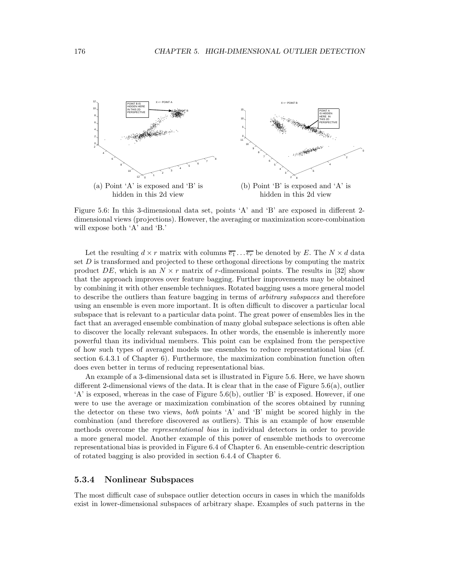

Figure 5.6: In this 3-dimensional data set, points 'A' and 'B' are exposed in different 2 dimensional views (projections). However, the averaging or maximization score-combination will expose both 'A' and 'B.'

Let the resulting  $d \times r$  matrix with columns  $\overline{e_1} \dots \overline{e_r}$  be denoted by E. The  $N \times d$  data set  $D$  is transformed and projected to these orthogonal directions by computing the matrix product DE, which is an  $N \times r$  matrix of r-dimensional points. The results in [32] show that the approach improves over feature bagging. Further improvements may be obtained by combining it with other ensemble techniques. Rotated bagging uses a more general model to describe the outliers than feature bagging in terms of *arbitrary subspaces* and therefore using an ensemble is even more important. It is often difficult to discover a particular local subspace that is relevant to a particular data point. The great power of ensembles lies in the fact that an averaged ensemble combination of many global subspace selections is often able to discover the locally relevant subspaces. In other words, the ensemble is inherently more powerful than its individual members. This point can be explained from the perspective of how such types of averaged models use ensembles to reduce representational bias (cf. section 6.4.3.1 of Chapter 6). Furthermore, the maximization combination function often does even better in terms of reducing representational bias.

An example of a 3-dimensional data set is illustrated in Figure 5.6. Here, we have shown different 2-dimensional views of the data. It is clear that in the case of Figure 5.6(a), outlier  $A'$  is exposed, whereas in the case of Figure 5.6(b), outlier  $B'$  is exposed. However, if one were to use the average or maximization combination of the scores obtained by running the detector on these two views, *both* points 'A' and 'B' might be scored highly in the combination (and therefore discovered as outliers). This is an example of how ensemble methods overcome the *representational bias* in individual detectors in order to provide a more general model. Another example of this power of ensemble methods to overcome representational bias is provided in Figure 6.4 of Chapter 6. An ensemble-centric description of rotated bagging is also provided in section 6.4.4 of Chapter 6.

#### **5.3.4 Nonlinear Subspaces**

The most difficult case of subspace outlier detection occurs in cases in which the manifolds exist in lower-dimensional subspaces of arbitrary shape. Examples of such patterns in the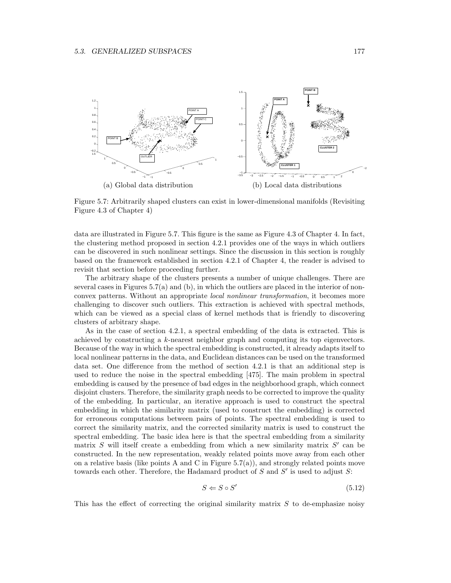

Figure 5.7: Arbitrarily shaped clusters can exist in lower-dimensional manifolds (Revisiting Figure 4.3 of Chapter 4)

data are illustrated in Figure 5.7. This figure is the same as Figure 4.3 of Chapter 4. In fact, the clustering method proposed in section 4.2.1 provides one of the ways in which outliers can be discovered in such nonlinear settings. Since the discussion in this section is roughly based on the framework established in section 4.2.1 of Chapter 4, the reader is advised to revisit that section before proceeding further.

The arbitrary shape of the clusters presents a number of unique challenges. There are several cases in Figures 5.7(a) and (b), in which the outliers are placed in the interior of nonconvex patterns. Without an appropriate *local nonlinear transformation*, it becomes more challenging to discover such outliers. This extraction is achieved with spectral methods, which can be viewed as a special class of kernel methods that is friendly to discovering clusters of arbitrary shape.

As in the case of section 4.2.1, a spectral embedding of the data is extracted. This is achieved by constructing a k-nearest neighbor graph and computing its top eigenvectors. Because of the way in which the spectral embedding is constructed, it already adapts itself to local nonlinear patterns in the data, and Euclidean distances can be used on the transformed data set. One difference from the method of section 4.2.1 is that an additional step is used to reduce the noise in the spectral embedding [475]. The main problem in spectral embedding is caused by the presence of bad edges in the neighborhood graph, which connect disjoint clusters. Therefore, the similarity graph needs to be corrected to improve the quality of the embedding. In particular, an iterative approach is used to construct the spectral embedding in which the similarity matrix (used to construct the embedding) is corrected for erroneous computations between pairs of points. The spectral embedding is used to correct the similarity matrix, and the corrected similarity matrix is used to construct the spectral embedding. The basic idea here is that the spectral embedding from a similarity matrix  $S$  will itself create a embedding from which a new similarity matrix  $S'$  can be constructed. In the new representation, weakly related points move away from each other on a relative basis (like points A and C in Figure 5.7(a)), and strongly related points move towards each other. Therefore, the Hadamard product of  $S$  and  $S'$  is used to adjust  $S$ :

$$
S \Leftarrow S \circ S' \tag{5.12}
$$

This has the effect of correcting the original similarity matrix  $S$  to de-emphasize noisy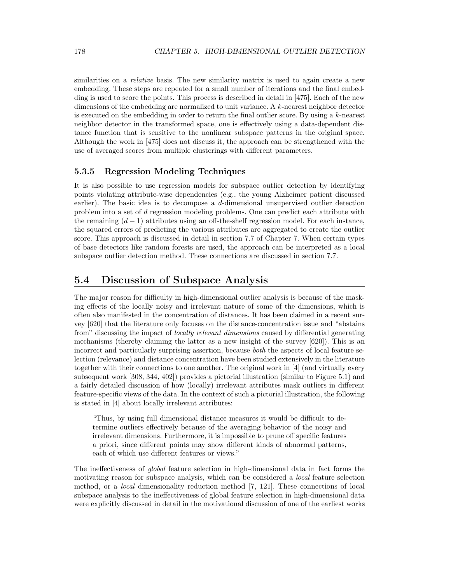similarities on a *relative* basis. The new similarity matrix is used to again create a new embedding. These steps are repeated for a small number of iterations and the final embedding is used to score the points. This process is described in detail in [475]. Each of the new dimensions of the embedding are normalized to unit variance. A k-nearest neighbor detector is executed on the embedding in order to return the final outlier score. By using a  $k$ -nearest neighbor detector in the transformed space, one is effectively using a data-dependent distance function that is sensitive to the nonlinear subspace patterns in the original space. Although the work in [475] does not discuss it, the approach can be strengthened with the use of averaged scores from multiple clusterings with different parameters.

#### **5.3.5 Regression Modeling Techniques**

It is also possible to use regression models for subspace outlier detection by identifying points violating attribute-wise dependencies (e.g., the young Alzheimer patient discussed earlier). The basic idea is to decompose a d-dimensional unsupervised outlier detection problem into a set of d regression modeling problems. One can predict each attribute with the remaining  $(d-1)$  attributes using an off-the-shelf regression model. For each instance, the squared errors of predicting the various attributes are aggregated to create the outlier score. This approach is discussed in detail in section 7.7 of Chapter 7. When certain types of base detectors like random forests are used, the approach can be interpreted as a local subspace outlier detection method. These connections are discussed in section 7.7.

## **5.4 Discussion of Subspace Analysis**

The major reason for difficulty in high-dimensional outlier analysis is because of the masking effects of the locally noisy and irrelevant nature of some of the dimensions, which is often also manifested in the concentration of distances. It has been claimed in a recent survey [620] that the literature only focuses on the distance-concentration issue and "abstains from" discussing the impact of *locally relevant dimensions* caused by differential generating mechanisms (thereby claiming the latter as a new insight of the survey [620]). This is an incorrect and particularly surprising assertion, because *both* the aspects of local feature selection (relevance) and distance concentration have been studied extensively in the literature together with their connections to one another. The original work in [4] (and virtually every subsequent work [308, 344, 402]) provides a pictorial illustration (similar to Figure 5.1) and a fairly detailed discussion of how (locally) irrelevant attributes mask outliers in different feature-specific views of the data. In the context of such a pictorial illustration, the following is stated in [4] about locally irrelevant attributes:

"Thus, by using full dimensional distance measures it would be difficult to determine outliers effectively because of the averaging behavior of the noisy and irrelevant dimensions. Furthermore, it is impossible to prune off specific features a priori, since different points may show different kinds of abnormal patterns, each of which use different features or views."

The ineffectiveness of *global* feature selection in high-dimensional data in fact forms the motivating reason for subspace analysis, which can be considered a *local* feature selection method, or a *local* dimensionality reduction method [7, 121]. These connections of local subspace analysis to the ineffectiveness of global feature selection in high-dimensional data were explicitly discussed in detail in the motivational discussion of one of the earliest works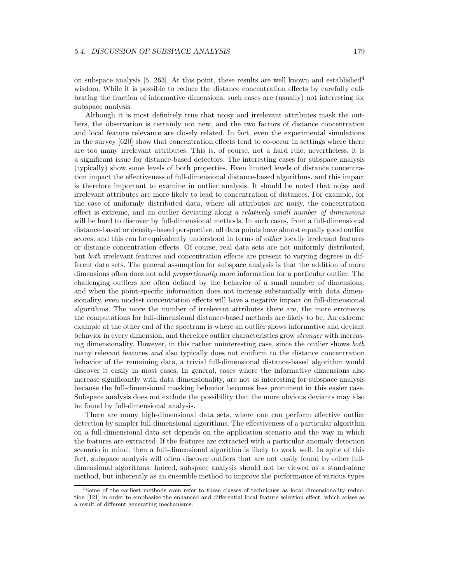on subspace analysis [5, 263]. At this point, these results are well known and established<sup>4</sup> wisdom. While it is possible to reduce the distance concentration effects by carefully calibrating the fraction of informative dimensions, such cases are (usually) not interesting for subspace analysis.

Although it is most definitely true that noisy and irrelevant attributes mask the outliers, the observation is certainly not new, and the two factors of distance concentration and local feature relevance are closely related. In fact, even the experimental simulations in the survey [620] show that concentration effects tend to co-occur in settings where there are too many irrelevant attributes. This is, of course, not a hard rule; nevertheless, it is a significant issue for distance-based detectors. The interesting cases for subspace analysis (typically) show some levels of both properties. Even limited levels of distance concentration impact the effectiveness of full-dimensional distance-based algorithms, and this impact is therefore important to examine in outlier analysis. It should be noted that noisy and irrelevant attributes are more likely to lead to concentration of distances. For example, for the case of uniformly distributed data, where all attributes are noisy, the concentration effect is extreme, and an outlier deviating along *a relatively small number of dimensions* will be hard to discover by full-dimensional methods. In such cases, from a full-dimensional distance-based or density-based perspective, all data points have almost equally good outlier scores, and this can be equivalently understood in terms of *either* locally irrelevant features or distance concentration effects. Of course, real data sets are not uniformly distributed, but *both* irrelevant features and concentration effects are present to varying degrees in different data sets. The general assumption for subspace analysis is that the addition of more dimensions often does not add *proportionally* more information for a particular outlier. The challenging outliers are often defined by the behavior of a small number of dimensions, and when the point-specific information does not increase substantially with data dimensionality, even modest concentration effects will have a negative impact on full-dimensional algorithms. The more the number of irrelevant attributes there are, the more erroneous the computations for full-dimensional distance-based methods are likely to be. An extreme example at the other end of the spectrum is where an outlier shows informative and deviant behavior in every dimension, and therefore outlier characteristics grow *stronger* with increasing dimensionality. However, in this rather uninteresting case, since the outlier shows *both* many relevant features *and* also typically does not conform to the distance concentration behavior of the remaining data, a trivial full-dimensional distance-based algorithm would discover it easily in most cases. In general, cases where the informative dimensions also increase significantly with data dimensionality, are not as interesting for subspace analysis because the full-dimensional masking behavior becomes less prominent in this easier case. Subspace analysis does not exclude the possibility that the more obvious deviants may also be found by full-dimensional analysis.

There are many high-dimensional data sets, where one can perform effective outlier detection by simpler full-dimensional algorithms. The effectiveness of a particular algorithm on a full-dimensional data set depends on the application scenario and the way in which the features are extracted. If the features are extracted with a particular anomaly detection scenario in mind, then a full-dimensional algorithm is likely to work well. In spite of this fact, subspace analysis will often discover outliers that are not easily found by other fulldimensional algorithms. Indeed, subspace analysis should not be viewed as a stand-alone method, but inherently as an ensemble method to improve the performance of various types

<sup>4</sup>Some of the earliest methods even refer to these classes of techniques as local dimensionality reduction [121] in order to emphasize the enhanced and differential local feature selection effect, which arises as a result of different generating mechanisms.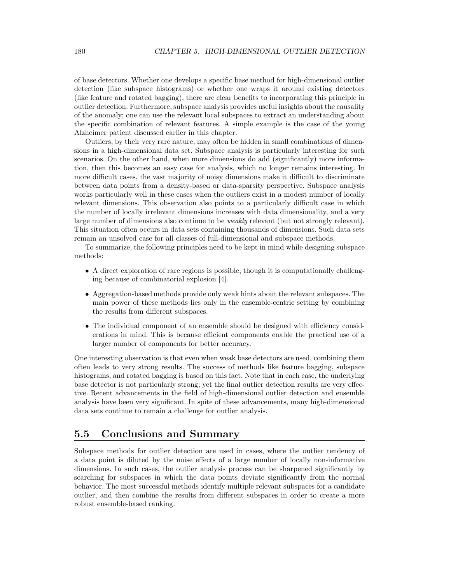of base detectors. Whether one develops a specific base method for high-dimensional outlier detection (like subspace histograms) or whether one wraps it around existing detectors (like feature and rotated bagging), there are clear benefits to incorporating this principle in outlier detection. Furthermore, subspace analysis provides useful insights about the causality of the anomaly; one can use the relevant local subspaces to extract an understanding about the specific combination of relevant features. A simple example is the case of the young Alzheimer patient discussed earlier in this chapter.

Outliers, by their very rare nature, may often be hidden in small combinations of dimensions in a high-dimensional data set. Subspace analysis is particularly interesting for such scenarios. On the other hand, when more dimensions do add (significantly) more information, then this becomes an easy case for analysis, which no longer remains interesting. In more difficult cases, the vast majority of noisy dimensions make it difficult to discriminate between data points from a density-based or data-sparsity perspective. Subspace analysis works particularly well in these cases when the outliers exist in a modest number of locally relevant dimensions. This observation also points to a particularly difficult case in which the number of locally irrelevant dimensions increases with data dimensionality, and a very large number of dimensions also continue to be *weakly* relevant (but not strongly relevant). This situation often occurs in data sets containing thousands of dimensions. Such data sets remain an unsolved case for all classes of full-dimensional and subspace methods.

To summarize, the following principles need to be kept in mind while designing subspace methods:

- A direct exploration of rare regions is possible, though it is computationally challenging because of combinatorial explosion [4].
- Aggregation-based methods provide only weak hints about the relevant subspaces. The main power of these methods lies only in the ensemble-centric setting by combining the results from different subspaces.
- The individual component of an ensemble should be designed with efficiency considerations in mind. This is because efficient components enable the practical use of a larger number of components for better accuracy.

One interesting observation is that even when weak base detectors are used, combining them often leads to very strong results. The success of methods like feature bagging, subspace histograms, and rotated bagging is based on this fact. Note that in each case, the underlying base detector is not particularly strong; yet the final outlier detection results are very effective. Recent advancements in the field of high-dimensional outlier detection and ensemble analysis have been very significant. In spite of these advancements, many high-dimensional data sets continue to remain a challenge for outlier analysis.

## **5.5 Conclusions and Summary**

Subspace methods for outlier detection are used in cases, where the outlier tendency of a data point is diluted by the noise effects of a large number of locally non-informative dimensions. In such cases, the outlier analysis process can be sharpened significantly by searching for subspaces in which the data points deviate significantly from the normal behavior. The most successful methods identify multiple relevant subspaces for a candidate outlier, and then combine the results from different subspaces in order to create a more robust ensemble-based ranking.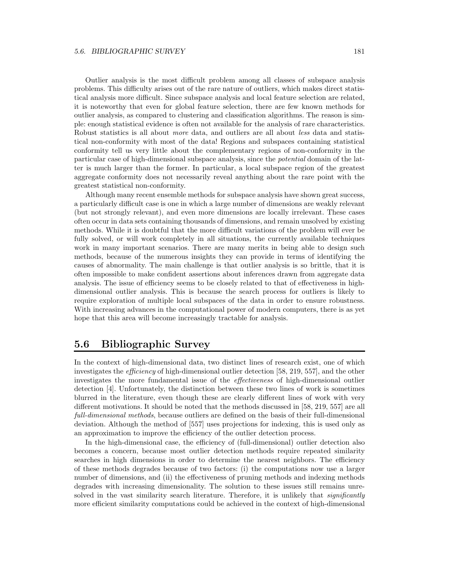Outlier analysis is the most difficult problem among all classes of subspace analysis problems. This difficulty arises out of the rare nature of outliers, which makes direct statistical analysis more difficult. Since subspace analysis and local feature selection are related, it is noteworthy that even for global feature selection, there are few known methods for outlier analysis, as compared to clustering and classification algorithms. The reason is simple: enough statistical evidence is often not available for the analysis of rare characteristics. Robust statistics is all about *more* data, and outliers are all about *less* data and statistical non-conformity with most of the data! Regions and subspaces containing statistical conformity tell us very little about the complementary regions of non-conformity in the particular case of high-dimensional subspace analysis, since the *potential* domain of the latter is much larger than the former. In particular, a local subspace region of the greatest aggregate conformity does not necessarily reveal anything about the rare point with the greatest statistical non-conformity.

Although many recent ensemble methods for subspace analysis have shown great success, a particularly difficult case is one in which a large number of dimensions are weakly relevant (but not strongly relevant), and even more dimensions are locally irrelevant. These cases often occur in data sets containing thousands of dimensions, and remain unsolved by existing methods. While it is doubtful that the more difficult variations of the problem will ever be fully solved, or will work completely in all situations, the currently available techniques work in many important scenarios. There are many merits in being able to design such methods, because of the numerous insights they can provide in terms of identifying the causes of abnormality. The main challenge is that outlier analysis is so brittle, that it is often impossible to make confident assertions about inferences drawn from aggregate data analysis. The issue of efficiency seems to be closely related to that of effectiveness in highdimensional outlier analysis. This is because the search process for outliers is likely to require exploration of multiple local subspaces of the data in order to ensure robustness. With increasing advances in the computational power of modern computers, there is as yet hope that this area will become increasingly tractable for analysis.

## **5.6 Bibliographic Survey**

In the context of high-dimensional data, two distinct lines of research exist, one of which investigates the *efficiency* of high-dimensional outlier detection [58, 219, 557], and the other investigates the more fundamental issue of the *effectiveness* of high-dimensional outlier detection [4]. Unfortunately, the distinction between these two lines of work is sometimes blurred in the literature, even though these are clearly different lines of work with very different motivations. It should be noted that the methods discussed in [58, 219, 557] are all *full-dimensional methods*, because outliers are defined on the basis of their full-dimensional deviation. Although the method of [557] uses projections for indexing, this is used only as an approximation to improve the efficiency of the outlier detection process.

In the high-dimensional case, the efficiency of (full-dimensional) outlier detection also becomes a concern, because most outlier detection methods require repeated similarity searches in high dimensions in order to determine the nearest neighbors. The efficiency of these methods degrades because of two factors: (i) the computations now use a larger number of dimensions, and (ii) the effectiveness of pruning methods and indexing methods degrades with increasing dimensionality. The solution to these issues still remains unresolved in the vast similarity search literature. Therefore, it is unlikely that *significantly* more efficient similarity computations could be achieved in the context of high-dimensional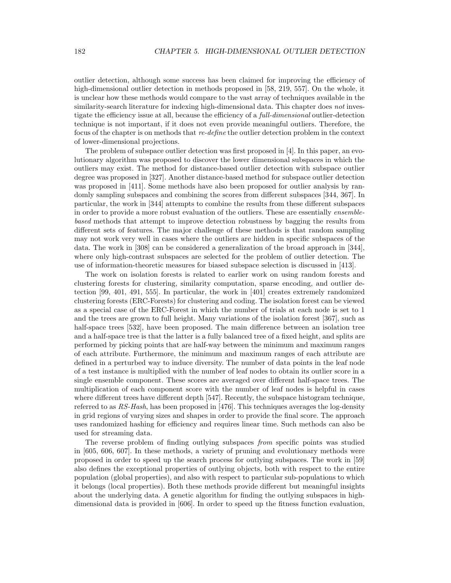outlier detection, although some success has been claimed for improving the efficiency of high-dimensional outlier detection in methods proposed in [58, 219, 557]. On the whole, it is unclear how these methods would compare to the vast array of techniques available in the similarity-search literature for indexing high-dimensional data. This chapter does *not* investigate the efficiency issue at all, because the efficiency of a *full-dimensional* outlier-detection technique is not important, if it does not even provide meaningful outliers. Therefore, the focus of the chapter is on methods that *re-define* the outlier detection problem in the context of lower-dimensional projections.

The problem of subspace outlier detection was first proposed in [4]. In this paper, an evolutionary algorithm was proposed to discover the lower dimensional subspaces in which the outliers may exist. The method for distance-based outlier detection with subspace outlier degree was proposed in [327]. Another distance-based method for subspace outlier detection was proposed in [411]. Some methods have also been proposed for outlier analysis by randomly sampling subspaces and combining the scores from different subspaces [344, 367]. In particular, the work in [344] attempts to combine the results from these different subspaces in order to provide a more robust evaluation of the outliers. These are essentially *ensemblebased* methods that attempt to improve detection robustness by bagging the results from different sets of features. The major challenge of these methods is that random sampling may not work very well in cases where the outliers are hidden in specific subspaces of the data. The work in [308] can be considered a generalization of the broad approach in [344], where only high-contrast subspaces are selected for the problem of outlier detection. The use of information-theoretic measures for biased subspace selection is discussed in [413].

The work on isolation forests is related to earlier work on using random forests and clustering forests for clustering, similarity computation, sparse encoding, and outlier detection [99, 401, 491, 555]. In particular, the work in [401] creates extremely randomized clustering forests (ERC-Forests) for clustering and coding. The isolation forest can be viewed as a special case of the ERC-Forest in which the number of trials at each node is set to 1 and the trees are grown to full height. Many variations of the isolation forest [367], such as half-space trees [532], have been proposed. The main difference between an isolation tree and a half-space tree is that the latter is a fully balanced tree of a fixed height, and splits are performed by picking points that are half-way between the minimum and maximum ranges of each attribute. Furthermore, the minimum and maximum ranges of each attribute are defined in a perturbed way to induce diversity. The number of data points in the leaf node of a test instance is multiplied with the number of leaf nodes to obtain its outlier score in a single ensemble component. These scores are averaged over different half-space trees. The multiplication of each component score with the number of leaf nodes is helpful in cases where different trees have different depth [547]. Recently, the subspace histogram technique, referred to as *RS-Hash*, has been proposed in [476]. This techniques averages the log-density in grid regions of varying sizes and shapes in order to provide the final score. The approach uses randomized hashing for efficiency and requires linear time. Such methods can also be used for streaming data.

The reverse problem of finding outlying subspaces *from* specific points was studied in [605, 606, 607]. In these methods, a variety of pruning and evolutionary methods were proposed in order to speed up the search process for outlying subspaces. The work in [59] also defines the exceptional properties of outlying objects, both with respect to the entire population (global properties), and also with respect to particular sub-populations to which it belongs (local properties). Both these methods provide different but meaningful insights about the underlying data. A genetic algorithm for finding the outlying subspaces in highdimensional data is provided in [606]. In order to speed up the fitness function evaluation,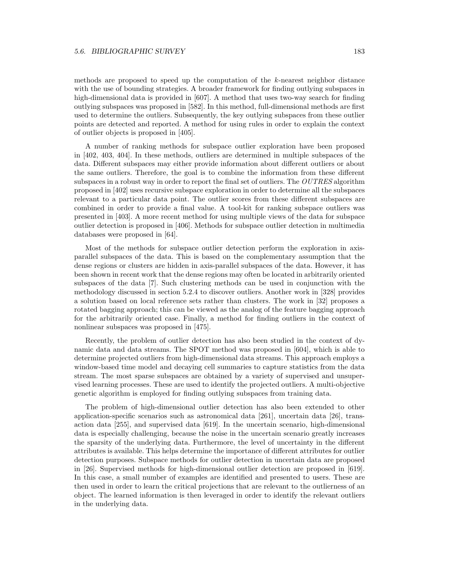methods are proposed to speed up the computation of the k-nearest neighbor distance with the use of bounding strategies. A broader framework for finding outlying subspaces in high-dimensional data is provided in [607]. A method that uses two-way search for finding outlying subspaces was proposed in [582]. In this method, full-dimensional methods are first used to determine the outliers. Subsequently, the key outlying subspaces from these outlier points are detected and reported. A method for using rules in order to explain the context of outlier objects is proposed in [405].

A number of ranking methods for subspace outlier exploration have been proposed in [402, 403, 404]. In these methods, outliers are determined in multiple subspaces of the data. Different subspaces may either provide information about different outliers or about the same outliers. Therefore, the goal is to combine the information from these different subspaces in a robust way in order to report the final set of outliers. The *OUTRES* algorithm proposed in [402] uses recursive subspace exploration in order to determine all the subspaces relevant to a particular data point. The outlier scores from these different subspaces are combined in order to provide a final value. A tool-kit for ranking subspace outliers was presented in [403]. A more recent method for using multiple views of the data for subspace outlier detection is proposed in [406]. Methods for subspace outlier detection in multimedia databases were proposed in [64].

Most of the methods for subspace outlier detection perform the exploration in axisparallel subspaces of the data. This is based on the complementary assumption that the dense regions or clusters are hidden in axis-parallel subspaces of the data. However, it has been shown in recent work that the dense regions may often be located in arbitrarily oriented subspaces of the data [7]. Such clustering methods can be used in conjunction with the methodology discussed in section 5.2.4 to discover outliers. Another work in [328] provides a solution based on local reference sets rather than clusters. The work in [32] proposes a rotated bagging approach; this can be viewed as the analog of the feature bagging approach for the arbitrarily oriented case. Finally, a method for finding outliers in the context of nonlinear subspaces was proposed in [475].

Recently, the problem of outlier detection has also been studied in the context of dynamic data and data streams. The SPOT method was proposed in [604], which is able to determine projected outliers from high-dimensional data streams. This approach employs a window-based time model and decaying cell summaries to capture statistics from the data stream. The most sparse subspaces are obtained by a variety of supervised and unsupervised learning processes. These are used to identify the projected outliers. A multi-objective genetic algorithm is employed for finding outlying subspaces from training data.

The problem of high-dimensional outlier detection has also been extended to other application-specific scenarios such as astronomical data [261], uncertain data [26], transaction data [255], and supervised data [619]. In the uncertain scenario, high-dimensional data is especially challenging, because the noise in the uncertain scenario greatly increases the sparsity of the underlying data. Furthermore, the level of uncertainty in the different attributes is available. This helps determine the importance of different attributes for outlier detection purposes. Subspace methods for outlier detection in uncertain data are proposed in [26]. Supervised methods for high-dimensional outlier detection are proposed in [619]. In this case, a small number of examples are identified and presented to users. These are then used in order to learn the critical projections that are relevant to the outlierness of an object. The learned information is then leveraged in order to identify the relevant outliers in the underlying data.